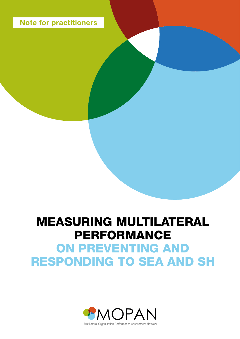Note for practitioners

## MEASURING MULTILATERAL PERFORMANCE ON PREVENTING AND RESPONDING TO SEA AND SH

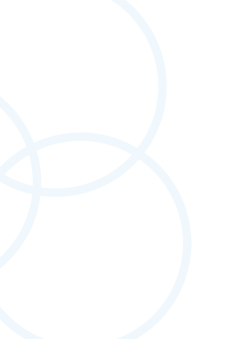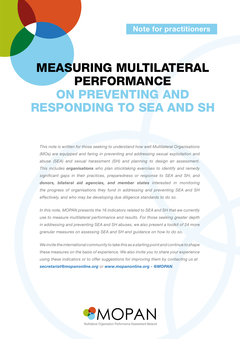### <span id="page-2-0"></span>MEASURING MULTILATERAL PERFORMANCE ON PREVENTING AND RESPONDING TO SEA AND SH

*This note is written for those seeking to understand how well Multilateral Organisations (MOs) are equipped and faring in preventing and addressing sexual exploitation and abuse (SEA) and sexual harassment (SH) and planning to design an assessment. This includes organisations who plan stocktaking exercises to identify and remedy significant gaps in their practices, preparedness or response to SEA and SH, and donors, bilateral aid agencies, and member states interested in monitoring the progress of organisations they fund in addressing and preventing SEA and SH effectively, and who may be developing due diligence standards to do so.*

*In this note, MOPAN presents the 16 indicators related to SEA and SH that we currently use to measure multilateral performance and results. For those seeking greater depth in addressing and preventing SEA and SH abuses, we also present a toolkit of 24 more granular measures on assessing SEA and SH and guidance on how to do so.*

*We invite the international community to take this as a starting point and continue to shape these measures on the basis of experience. We also invite you to share your experience using these indicators or to offer suggestions for improving them by contacting us at [secretariat@mopanonline.org](mailto:secretariat@mopanonline.org) or [www.mopanonline.org](http://www.mopanonline.org) - @MOPAN.*

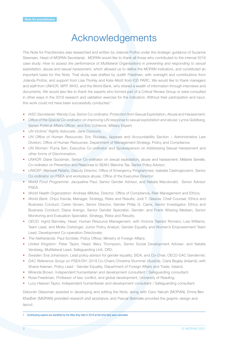### Acknowledgements

<span id="page-3-0"></span>This Note for Practitioners was researched and written by Jolanda Profos under the strategic guidance of Suzanne Steensen, Head of MOPAN Secretariat. MOPAN would like to thank all those who contributed to the internal 2019 case study: *How to assess the performance of Multilateral Organisations in preventing and responding to sexual exploitation, abuse and sexual harassment,* which allowed us to define the MOPAN indicators, and constituted an important basis for this Note. That study was drafted by Judith Friedman, with oversight and contributions from Jolanda Profos, and support from Lisa Thorley and Kate Alliott from IOD PARC. We would like to thank managers and staff from UNHCR, WFP, WHO, and the World Bank, who shared a wealth of information through interviews and documents. We would also like to thank the experts who formed part of a Critical Review Group or were consulted in other ways in the 2019 research and validation exercise for the indicators. Without their participation and input, this work could not have been successfully conducted.<sup>1</sup>

- *IASC Secretariat:* Wendy Cue, Senior Co-ordinator, Protection from Sexual Exploitation, Abuse and Harassment;
- *Office of the Special Co-ordinator on improving UN response to sexual exploitation and abuse:* Lynne Goldberg, Senior Political Affairs Officer; and Eric Cottenoir, Military Expert;
- *UN Victims' Rights Advocate,* Jane Connors;
- *UN Office of Human Resources:* Eric Rouleau, Appeals and Accountability Section Administrative Law Division, Office of Human Resources, Department of Management Strategy, Policy and Compliance;
- *UN Women:* Purna Sen, Executive Co-ordinator and Spokesperson on Addressing Sexual Harassment and other forms of Discrimination;
- *UNHCR*: Diane Goodman, Senior Co-ordinator on sexual exploitation, abuse and harassment; Mélanie Senelle, Co-ordinator on Prevention and Response to SEAH; Blanche Tax, Senior Policy Advisor;
- *UNICEF*: Meritxell Relaño, Deputy Director, Office of Emergency Programmes; Isabella Castrogiovanni, Senior Co-ordinator on PSEA and workplace abuse, Office of the Executive Director;
- *World Food Programme*: Jacqueline Paul, Senior Gender Advisor, and Natalia Macdonald, Senior Advisor PSEA;
- *World Health Organization:* Andreas Mlitzke, Director, Office of Compliance, Risk Management and Ethics;
- *World Bank:* Chiyo Kanda, Manager, Strategy, Risks and Results; Jodi T. Glasow, Chief Counsel, Ethics and Business Conduct; Caren Grown, Senior Director, Gender Philip G. Caine, Senior Investigator, Ethics and Business Conduct; Diana Arango, Senior Gender Specialist, Gender; and Frank Wissing Madsen, Senior Monitoring and Evaluation Specialist, Strategy, Risks and Results;
- *OECD:* Ingrid Barnsley, Head, Human Resource Management, with Victoria Tejedor Romero; Lisa Williams, Team Lead, and Mollie Cretsinger, Junior Policy Analyst, Gender Equality and Women's Empowerment Team Lead, Development Co-operation Directorate;
- *The Netherlands*: Paul Schilder, Policy Officer, Ministry of Foreign Affairs;
- *United Kingdom*: Peter Taylor, Head; Mary Thompson, Senior Social Development Adviser; and Natalie Versteeg, Multilateral Lead, Safeguarding Unit, DfID;
- *Sweden:* Eva Johansson, Lead policy advisor for gender equality, SIDA, and Co-Chair, OECD-DAC Gendernet;
- *DAC Reference Group on PSEA/SH*: 2019 Co-Chairs Christina Stummer (Austria), Ciara Begley (Ireland); with Shane Keenan, Policy Lead - Gender Equality, Department of Foreign Affairs and Trade, Ireland;
- Miranda Brown, Independent humanitarian and development consultant / Safequarding consultant;
- Rosa Freedman, Professor of law, conflict, and global development, University of Reading;
- Lucy Heaven Taylor, Independent humanitarian and development consultant / Safeguarding consultant.

Deborah Glassman assisted in developing and editing the Note, along with Cara Yakush (MOPAN). Emna Ben Khedher (MOPAN) provided research and assistance, and Pascal Betmalle provided the graphic design and layout.

<sup>1</sup> Contributing experts are identified by the titles they held in 2019 at the time they were consulted.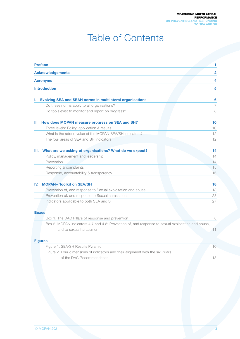### Table of Contents

|              | <b>Preface</b>                                                                                     | 1.              |
|--------------|----------------------------------------------------------------------------------------------------|-----------------|
|              | <b>Acknowledgements</b>                                                                            | $\overline{2}$  |
|              | <b>Acronyms</b>                                                                                    | 4               |
|              | <b>Introduction</b>                                                                                | 5               |
| ı.           | <b>Evolving SEA and SEAH norms in multilateral organisations</b>                                   | 6               |
|              | Do these norms apply to all organisations?                                                         | $\overline{7}$  |
|              | Do tools exist to monitor and report on progress?                                                  | 8               |
| н. -         | How does MOPAN measure progress on SEA and SH?                                                     | 10              |
|              | Three levels: Policy, application & results                                                        | 10              |
|              | What is the added value of the MOPAN SEA/SH indicators?                                            | 12              |
|              | The four areas of SEA and SH indicators                                                            | 12              |
| Ш.           | What are we asking of organisations? What do we expect?                                            | 14              |
|              | Policy, management and leadership                                                                  | 14              |
|              | Prevention                                                                                         | 14              |
|              | Reporting & complaints                                                                             | 15              |
|              | Response, accountability & transparency                                                            | 16              |
| IV.          | <b>MOPAN+ Toolkit on SEA/SH</b>                                                                    | 18              |
|              | Prevention of, and response to Sexual exploitation and abuse                                       | 18              |
|              | Prevention of, and response to Sexual harassment                                                   | 23              |
|              | Indicators applicable to both SEA and SH                                                           | 27              |
| <b>Boxes</b> |                                                                                                    |                 |
|              | Box 1. The DAC Pillars of response and prevention                                                  | 8               |
|              | Box 2. MOPAN Indicators 4.7 and 4.8: Prevention of, and response to sexual exploitation and abuse, |                 |
|              | and to sexual harassment                                                                           | 11              |
|              | <b>Figures</b>                                                                                     |                 |
|              | Figure 1. SEA/SH Results Pyramid                                                                   | 10 <sup>°</sup> |
|              | Figure 2. Four dimensions of indicators and their alignment with the six Pillars                   |                 |
|              | of the DAC Recommendation                                                                          | 13              |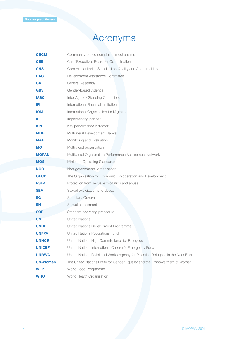# Acronyms

<span id="page-5-0"></span>

| <b>CBCM</b>     | Community-based complaints mechanisms                                          |
|-----------------|--------------------------------------------------------------------------------|
| <b>CEB</b>      | Chief Executives Board for Co-ordination                                       |
| <b>CHS</b>      | Core Humanitarian Standard on Quality and Accountability                       |
| <b>DAC</b>      | Development Assistance Committee                                               |
| <b>GA</b>       | General Assembly                                                               |
| <b>GBV</b>      | Gender-based violence                                                          |
| <b>IASC</b>     | Inter-Agency Standing Committee                                                |
| IFI             | International Financial Institution                                            |
| <b>IOM</b>      | International Organization for Migration                                       |
| IP              | Implementing partner                                                           |
| <b>KPI</b>      | Key performance indicator                                                      |
| <b>MDB</b>      | Multilateral Development Banks                                                 |
| M&E             | Monitoring and Evaluation                                                      |
| <b>MO</b>       | Multilateral organisation                                                      |
| <b>MOPAN</b>    | Multilateral Organisation Performance Assessment Network                       |
| <b>MOS</b>      | Minimum Operating Standards                                                    |
| <b>NGO</b>      | Non-governmental organisation                                                  |
| <b>OECD</b>     | The Organisation for Economic Co-operation and Development                     |
| <b>PSEA</b>     | Protection from sexual exploitation and abuse                                  |
| <b>SEA</b>      | Sexual exploitation and abuse                                                  |
| SG              | Secretary-General                                                              |
| SH              | Sexual harassment                                                              |
| <b>SOP</b>      | Standard operating procedure                                                   |
| <b>UN</b>       | <b>United Nations</b>                                                          |
| <b>UNDP</b>     | United Nations Development Programme                                           |
| <b>UNFPA</b>    | United Nations Populations Fund                                                |
| <b>UNHCR</b>    | United Nations High Commissioner for Refugees                                  |
| <b>UNICEF</b>   | United Nations International Children's Emergency Fund                         |
| <b>UNRWA</b>    | United Nations Relief and Works Agency for Palestine Refugees in the Near East |
| <b>UN-Women</b> | The United Nations Entity for Gender Equality and the Empowerment of Women     |
| WFP             | World Food Programme                                                           |
| WHO             | World Health Organisation                                                      |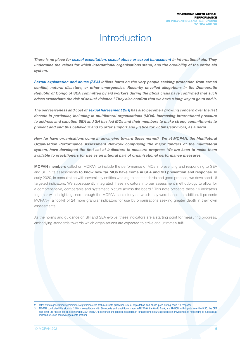### Introduction

<span id="page-6-0"></span>*There is no place for sexual exploitation, sexual abuse or sexual harassment in international aid. They undermine the values for which international organisations stand, and the credibility of the entire aid system.* 

*Sexual exploitation and abuse (SEA) inflicts harm on the very people seeking protection from armed conflict, natural disasters, or other emergencies. Recently unveiled allegations in the Democratic Republic of Congo of SEA committed by aid workers during the Ebola crisis have confirmed that such crises exacerbate the risk of sexual violence.2 They also confirm that we have a long way to go to end it.*

*The pervasiveness and cost of sexual harassment (SH) has also become a growing concern over the last decade in particular, including in multilateral organisations (MOs). Increasing international pressure to address and sanction SEA and SH has led MOs and their members to make strong commitments to prevent and end this behaviour and to offer support and justice for victims/survivors, as a norm.* 

*How far have organisations come in advancing toward these norms? We at MOPAN, the Multilateral Organisation Performance Assessment Network comprising the major funders of the multilateral system, have developed the first set of indicators to measure progress. We are keen to make them available to practitioners for use as an integral part of organisational performance measures.*

**MOPAN members** called on MOPAN to include the performance of MOs in preventing and responding to SEA and SH in its assessments to know how far MOs have come in SEA and SH prevention and response. In early 2020, in consultation with several key entities working to set standards and good practice, we developed 16 targeted indicators. We subsequently integrated these indicators into our assessment methodology to allow for a comprehensive, comparable and systematic picture across the board.3 This note presents these 16 indicators together with insights gained through the MOPAN case study on which they were based. In addition, it presents MOPAN+, a toolkit of 24 more granular indicators for use by organisations seeking greater depth in their own assessments.

As the norms and guidance on SH and SEA evolve, these indicators are a starting point for measuring progress, embodying standards towards which organisations are expected to strive and ultimately fulfil.

<sup>2</sup> https://interagencystandingcommittee.org/other/interim-technical-note-protection-sexual-exploitation-and-abuse-psea-during-covid-19-response

<sup>3</sup> MOPAN conducted this study in 2019 in consultation with 30 experts and practitioners from WFP, WHO, the World Bank, and UNHCR, with inputs from the IASC, the CEB and other UN-related bodies dealing with SEAH and SH, to construct and propose an approach for assessing an MO's practice on preventing and responding to such sexual misconduct. (See acknowledgements section).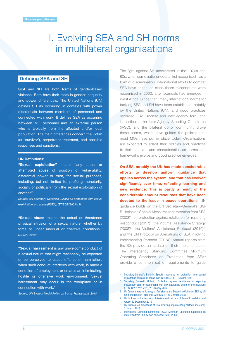### <span id="page-7-0"></span>I. Evolving SEA and SH norms in multilateral organisations

### Defining SEA and SH

SEA and SH are both forms of gender-based violence. Both have their roots in gender inequality and power differentials. The United Nations (UN) defines SH as occurring in contexts with power differentials between members of personnel and connected with work. It defines SEA as occurring between MO personnel and an external person who is typically from the affected and/or local population. The main differences concern the victim (or 'survivor'), perpetrator treatment, and possible responses and sanctions.

#### UN Definitions:

"Sexual exploitation" means "any actual or attempted abuse of position of vulnerability, differential power or trust, for sexual purposes, including, but not limited to, profiting monetarily, socially or politically from the sexual exploitation of another."

*Source: UN Secretary-General's Bulletin on protection from sexual exploitation and abuse (PSEA), (ST/SGB/2003/13)*

"Sexual abuse means the actual or threatened physical intrusion of a sexual nature, whether by force or under unequal or coercive conditions." *Source: Ibidem*

"Sexual harassment is any unwelcome conduct of a sexual nature that might reasonably be expected or be perceived to cause offence or humiliation, when such conduct interferes with work, is made a condition of employment or creates an intimidating, hostile or offensive work environment. Sexual harassment may occur in the workplace or in connection with work."

*Source: UN System Model Policy on Sexual Harassment, 2018*

The fight against SH accelerated in the 1970s and 80s, when some national courts first recognised it as a form of discrimination. International efforts to combat SEA have continued since these misconducts were recognised in 2002, after scandals had emerged in West Africa. Since then, many international norms for tackling SEA and SH have been established, notably by the United Nations (UN), and good practices recorded. Civil society and inter-agency fora, and in particular the Inter-Agency Standing Committee (IASC), and the bilateral donor community drove these norms, which have guided the policies that most MOs have put in place today. Organisations are expected to adapt their policies and practices to their contexts and characteristics as norms and frameworks evolve and good practice emerges.

On SEA, notably the UN has made considerable efforts to develop uniform guidance that applies across the system, and that has evolved significantly over time, reflecting learning and new evidence. This is partly a result of the considerable amount resources that have been devoted to the issue in peace operations. UN guidance builds on the UN Secretary-General's (SG) Bulletins on Special Measures for protection from SEA (2003)4, on protection against retaliation for reporting misconduct (2017)<sup>5</sup>, the Victims' Assistance Strategy  $(2008)^6$ , the Victims' Assistance Protocol  $(2019)^7$ , and the UN Protocol on Allegations of SEA involving Implementing Partners (2018)<sup>8</sup>. Annual reports from the SG provide an update on their implementation. The Interagency Standing Committee Minimum Operating Standards on Protection from SEA9 provide a common set of requirements to guide

- UN Protocol on allegations of SEA involving implementing partners (no code), 21 March 2018
- 9 Interagency Standing Committee (IASC) Minimum Operating Standards on Protection from SEA by own personnel (MOS-PSEA)

<sup>4</sup> Secretary-General's Bulletin: Special measures for protection from sexual exploitation and sexual abuse (ST/SGB/2003/13), 9 October 2003

<sup>5</sup> Secretary General's Bulletin: Protection against retaliation for reporting misconduct and for cooperating with duly authorized audits or investigations (ST/SGB/2017/2/Rev.1), 20 January 2017

<sup>6</sup> UN Comprehensive Strategy on Assistance and Support to Victims of SEA by UN Staff and Related Personnel (A/RES/62/214), 7 March 2008

<sup>7</sup> UN Protocol on the Provision of Assistance to Victims of Sexual Exploitation and Abuse, 12 December 2019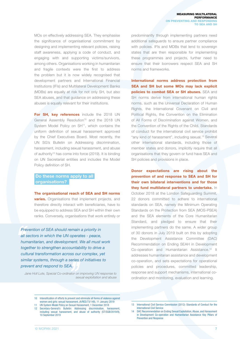<span id="page-8-0"></span>MOs on effectively addressing SEA. They emphasise the significance of organisational commitment by designing and implementing relevant policies, raising staff awareness, applying a code of conduct, and engaging with and supporting victims/survivors, among others. Organisations working in humanitarian and fragile contexts were the first to address the problem but it is now widely recognised that development partners and International Financial Institutions (IFIs) and Multilateral Development Banks (MDBs) are equally at risk for not only SH, but also SEA abuses, and that guidance on addressing these abuses is equally relevant for their institutions.

For SH, key references include the 2018 UN General Assembly Resolution<sup>10</sup> and the 2018 UN System Model Policy on SH<sup>11</sup>, which contains the uniform definition of sexual harassment approved by the Chief Executives Board. Most recently, the UN SG's Bulletin on Addressing discrimination, harassment, including sexual harassment, and abuse of authority<sup>12</sup> has come into force (2019). It is binding on UN Secretariat entities and includes the Model Policy definition of SH.

#### Do these norms apply to all organisations?

The organisational reach of SEA and SH norms **varies.** Organisations that implement projects, and therefore directly interact with beneficiaries, have to be equipped to address SEA and SH within their own ranks. Conversely, organisations that work entirely or

*Prevention of SEA should remain a priority in all sectors in which the UN operates - peace, humanitarian, and development. We all must work together to strengthen accountability to drive a cultural transformation across our complex, yet similar systems, through a series of initiatives to prevent and respond to SEA.*

*Jane Holl Lute, Special Co-ordinator on improving UN response to sexual exploitation and abuse* predominantly through implementing partners need additional safeguards to ensure partner compliance with policies. IFIs and MDBs that lend to sovereign states that are then responsible for implementing these programmes and projects, further need to ensure that their borrowers respect SEA and SH norms and frameworks.

International norms address protection from SEA and SH but some MOs may lack explicit policies to combat SEA or SH abuses. SEA and SH norms derive from international human rights norms, such as the Universal Declaration of Human Rights, the International Covenant on Civil and Political Rights, the Convention on the Elimination of All Forms of Discrimination against Women, and the Convention of the Rights of the Child. Standards of conduct for the international civil service prohibit "any kind of harassment", including sexual.<sup>13</sup> Several other international standards, including those of member states and donors, implicitly require that all organisations that they govern or fund have SEA and SH policies and provisions in place.

Donor expectations are rising about the prevention of and response to SEA and SH for their own bilateral interventions and for those they fund multilateral partners to undertake. In October 2018 at the London Safeguarding Summit, 22 donors committed to adhere to international standards on SEA, namely the Minimum Operating Standards on the Protection from SEA (MOS-PSEA) and the SEA elements of the Core Humanitarian Standard, and pledged to ensure that their implementing partners do the same. A wider group of 30 donors in July 2019 built on this by adopting the Development Assistance Committee (DAC) Recommendation on Ending SEAH in Development Co-operation and Humanitarian Assistance.<sup>14</sup> It addresses humanitarian assistance and development co-operation, and sets expectations for operational policies and procedures, committed leadership, response and support mechanisms, international coordination and monitoring, evaluation and learning.

- 10 Intensification of efforts to prevent and eliminate all forms of violence against women and girls: sexual harassment, (A/RES/73/148), 11 January 2019
- 11 UN System Model Policy on Sexual Harassment, 1 December 2018 Secretary-General's Bulletin: Addressing discrimination, harassment,
- including sexual harassment, and abuse of authority (ST/SGB/2019/8), 10 September 2019

<sup>13</sup> International Civil Service Commission (2012): Standards of Conduct for the International Civil Service

<sup>14</sup> [DAC Recommendation on Ending Sexual Exploitation, Abuse, and Harassment](https://legalinstruments.oecd.org/en/instruments/OECD-LEGAL-5020)  [in Development Co-operation and Humanitarian Assistance Key Pillars of](https://legalinstruments.oecd.org/en/instruments/OECD-LEGAL-5020)  [Prevention and Response](https://legalinstruments.oecd.org/en/instruments/OECD-LEGAL-5020)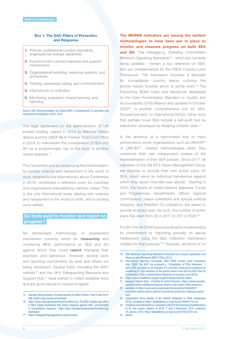#### <span id="page-9-0"></span>Box 1. The DAC Pillars of Prevention and Response

- 1. Policies, professional conduct standards, organisational change, leadership
- 2. Survivor/victim-centred response and support mechanisms
- **3.** Organisational reporting, response systems, and procedures
- 4. Training, awareness raising, and communication
- 5. International co-ordination
- 6. Monitoring, evaluation, shared learning, and reporting

Source: DAC Recommendation on Ending SEAH in Development Co-operation and Humanitarian Assistance, OECD, 2019

The legal agreement on the administration of UN pooled funding, signed in 2019 by Member States donors and the UNDP Multi-Partner Trust Fund Office in 2019, to mainstream the consideration of SEA and SH as a programmatic risk to the fund, is another recent example.15

The Convention and accompanying Recommendation to combat violence and harassment in the world of work, adopted by the International Labour Conference in 2019, constitutes a reference point for countries and organisations mandated by member states. This is the only international treaty dealing with violence and harassment in the world of work, and is binding once ratified.

#### Do tools exist to monitor and report on progress?

No harmonised methodology or assessment mechanism currently exists for **measuring** and monitoring MOs' performance on SEA and SH against which they could report changing their practices and behaviour. However, several tools and reporting mechanisms do exist and others are being developed. Several hubs, including the IASC website<sup>16</sup> and the UK's Safeguarding Resource and Support Hub,<sup>17</sup> have started to collect available tools and are good places to consult progress.

17 <https://safeguardingsupporthub.org/documents>

The MOPAN indicators are among the earliest methodologies to have been put in place to monitor and measure progress on both SEA and SH. The Interagency Standing Committee's Minimum Operating Standards<sup>18</sup> - which are currently being updated - remain a key reference on SEA, and are complemented by the PSEA Country-Level Framework. The framework provides a template for humanitarian country teams outlining the priority results towards which to jointly work.19 The Preventing SEAH Index and Handbook developed by the Core Humanitarian Standard on Quality and Accountability (CHS) Alliance and updated in October 202020, is another comprehensive tool for SEA, focused primarily on international NGOs. Other tools that partially cover SEA include a self-audit tool by InterAction developed by Keeping Children Safe.<sup>21</sup>

In the absence of a harmonised tool to track performance, some organisations, such as UNHCR<sup>22</sup> or UNICEF23, created methodologies when they undertook their own independent reviews of the implementation of their SEA policies. Since 2017, all members of the UN SG's Senior Management Group are required to provide their own action plans for SEA, which serve as individual frameworks against which they report internally (see above). Starting in 2020, the Heads of United Nations Agencies, Funds and Programmes, departments, offices, regional commissions, peace operations and special political missions, and Resident Co-ordinators, are asked to provide an action plan. As such, the number of action plans has risen from 35 in 2017 to 207 in 2020.24

For SH, the UN Chief Executives Board is implementing its commitment to "reporting annually on sexual harassment using the data collection mechanism created for that purpose."25 However, we know of no

- 18 [IASC Minimum Operating Standards Protection from Sexual Exploitation and](https://interagencystandingcommittee.org/system/files/3_minimum_operating_standards_mos-psea.pdf) [Abuse by own Personnel \(MOS-PSEA\)](https://interagencystandingcommittee.org/system/files/3_minimum_operating_standards_mos-psea.pdf) (2012)
- 19 Inter-Agency Standing Committee, [IASC PSEA Country Level Framework](https://psea.interagencystandingcommittee.org/sites/default/files/2020-08/IASC%20PSEA%20Country%20Level%20Framework%20-%20July%202020.docx) [\(July 2020\)](https://psea.interagencystandingcommittee.org/sites/default/files/2020-08/IASC%20PSEA%20Country%20Level%20Framework%20-%20July%202020.docx). The IASC has produced a 'Compilation of PSEA indicators', 1 April 2020, available on its [website](https://psea.interagencystandingcommittee.org/resources?f%5B0%5D=type_of_publication%3A301). It is currently reviewing its guidance for monitoring 21 SEA indicators at the country level in line with the [IASC Plan for](https://interagencystandingcommittee.org/iasc-champion-protection-sexual-exploitation-and-abuse-and-sexual-harassment/iasc-plan-accelerating) [Accelerating PSEA in Humanitarian Response at Country Level \(2018\)](https://interagencystandingcommittee.org/iasc-champion-protection-sexual-exploitation-and-abuse-and-sexual-harassment/iasc-plan-accelerating)
- 20 <https://www.chsalliance.org/get-support/resource/pseah-index/> 21 Keeping Children Safe – A Toolkit for Child Protection, [https://resourcecentre.](https://resourcecentre.savethechildren.net/library/keeping-children-safe-toolkit-child-protection)
- [savethechildren.net/library/keeping-children-safe-toolkit-child-protection,](https://resourcecentre.savethechildren.net/library/keeping-children-safe-toolkit-child-protection) 22 available at [https://www.unhcr.org/research/evalreports/5d5bb2637/](https://www.unhcr.org/research/evalreports/5d5bb2637/evaluative-review-unhcrs-policies-procedures-prevention-response-sexual.html)
- [evaluative-review-unhcrs-policies-procedures-prevention-response-sexual.](https://www.unhcr.org/research/evalreports/5d5bb2637/evaluative-review-unhcrs-policies-procedures-prevention-response-sexual.html) [html](https://www.unhcr.org/research/evalreports/5d5bb2637/evaluative-review-unhcrs-policies-procedures-prevention-response-sexual.html)
- 23 Independent Panel Review of the UNICEF Response to PSEA (September 2018), available at https://digitallibrary.un.org/record/1656591?ln=en
- 24 Chief Executives Board for Co-ordination, CEB/2018/2, Summary of deliberations at its 2nd regular session of 2018, 7 and 8 November 2018, published 18 January 2019, <https://digitallibrary.un.org/record/3792232?ln=en>
- 25 Ibidem

<sup>15</sup> Standard Memorandum of Understanding for Multi-Partner Trust Funds 2019, <http://mptf.undp.org/document/legal>

<sup>16</sup> [https://psea.interagencystandingcommittee.org/.](https://psea.interagencystandingcommittee.org/) The IASC website also offers a PSEA Global Dashboard that tracks progress against IASC commitments in humanitarian response: [https://psea.interagencystandingcommittee.org/](https://psea.interagencystandingcommittee.org/dashboard) ashboard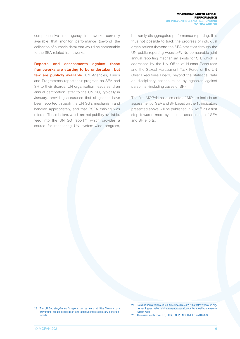comprehensive inter-agency frameworks currently available that monitor performance (beyond the collection of numeric data) that would be comparable to the SEA-related frameworks.

Reports and assessments against these frameworks are starting to be undertaken, but few are publicly available. UN Agencies, Funds and Programmes report their progress on SEA and SH to their Boards. UN organisation heads send an annual certification letter to the UN SG, typically in January, providing assurance that allegations have been reported through the UN SG's mechanism and handled appropriately, and that PSEA training was offered. These letters, which are not publicly available, feed into the UN SG report<sup>26</sup>, which provides a source for monitoring UN system-wide progress,

but rarely disaggregates performance reporting. It is thus not possible to track the progress of individual organisations (beyond the SEA statistics through the UN public reporting website)<sup>27</sup>. No comparable joint annual reporting mechanism exists for SH, which is addressed by the UN Office of Human Resources and the Sexual Harassment Task Force of the UN Chief Executives Board, beyond the statistical data on disciplinary actions taken by agencies against personnel (including cases of SH).

The first MOPAN assessments of MOs to include an assessment of SEA and SH based on the 16 indicators presented above will be published in 202128 as a first step towards more systematic assessment of SEA and SH efforts.

<sup>26</sup> The UN Secretary-General's reports can be found at [https://www.un.org/](https://www.un.org/preventing-sexual-exploitation-and-abuse/content/secretary-generals-reports) [preventing-sexual-exploitation-and-abuse/content/secretary-generals](https://www.un.org/preventing-sexual-exploitation-and-abuse/content/secretary-generals-reports)[reports](https://www.un.org/preventing-sexual-exploitation-and-abuse/content/secretary-generals-reports) 

<sup>27</sup> Data has been available in real time since March 2019 at [https://www.un.org/](https://www.un.org/preventing-sexual-exploitation-and-abuse/content/data-allegations-un-system-wide) [preventing-sexual-exploitation-and-abuse/content/data-allegations-un](https://www.un.org/preventing-sexual-exploitation-and-abuse/content/data-allegations-un-system-wide)[system-wide](https://www.un.org/preventing-sexual-exploitation-and-abuse/content/data-allegations-un-system-wide)

<sup>28</sup> The assessments cover ILO, OCHA, UNDP, UNEP, UNICEF, and UNOPS.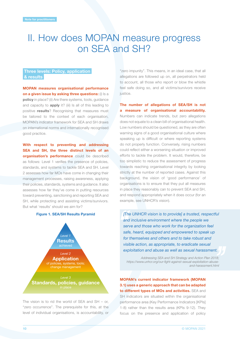### <span id="page-11-0"></span>II. How does MOPAN measure progress on SEA and SH?

#### Three levels: Policy, application & results

MOPAN measures organisational performance on a given issue by asking three questions: (i) Is a policy in place? (ii) Are there systems, tools, guidance and capacity to **apply** it? (iii) Is all of this leading to positive **results**? Recognising that measures must be tailored to the context of each organisation, MOPAN's indicator framework for SEA and SH draws on international norms and internationally recognised good practice.

With respect to preventing and addressing SEA and SH, the three distinct levels of an organisation's performance could be described as follows: Level 1 verifies the presence of policies, standards, and systems to tackle SEA and SH. Level 2 assesses how far MOs have come in changing their management processes, raising awareness, applying their policies, standards, systems and guidance. It also assesses how far they've come in putting resources toward preventing, sanctioning and reporting SEA and SH, while protecting and assisting victims/survivors. But what 'results' should we aim for?





The vision is to rid the world of SEA and  $SH - or$ , "zero occurrence". The prerequisite for this, at the level of individual organisations, is accountability, or

"zero impunity". This means, in an ideal case, that all allegations are followed up on, all perpetrators held to account, all those who report or blow the whistle feel safe doing so, and all victims/survivors receive justice.

The number of allegations of SEA/SH is not a measure of organisational accountability. Numbers can indicate trends, but zero allegations does not equate to a clean bill of organisational health. Low numbers should be questioned, as they are often warning signs of a good organisational culture where speaking up is difficult or where reporting systems do not properly function. Conversely, rising numbers could reflect either a worsening situation or improved efforts to tackle the problem. It would, therefore, be too simplistic to reduce the assessment of progress towards reaching organisational integrity by looking strictly at the number of reported cases. Against this background, the vision of 'good performance' of organisations is to ensure that they put all measures in place they reasonably can to prevent SEA and SH, and respond appropriately when it does occur (for an example, see UNHCR's vision).

*[The UNHCR vision is to provide] a trusted, respectful and inclusive environment where the people we serve and those who work for the organization feel safe, heard, equipped and empowered to speak up for themselves and others and to take robust and visible action, as appropriate, to eradicate sexual exploitation and abuse as well as sexual harassment.*

*Addressing SEA and SH Strategy and Action Plan 2018; https://www.unhcr.org/our-fight-against-sexual-exploitation-abuseand-harassment.html*

MOPAN's current indicator framework ([MOPAN](http://www.mopanonline.org/ourwork/themopanapproach/) [3.1\)](http://www.mopanonline.org/ourwork/themopanapproach/) uses a generic approach that can be adapted to different types of MOs and activities. SEA and SH indicators are situated within the organisational performance area (Key Performance Indicators [KPIs] 1-8) rather than the results area (KPIs 9-12). They focus on the presence and application of policy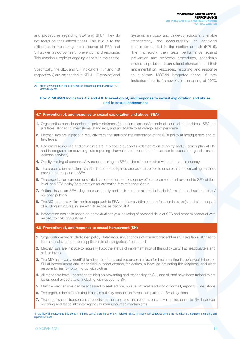<span id="page-12-0"></span>and procedures regarding SEA and SH.29 They do not focus on their effectiveness. This is due to the difficulties in measuring the incidence of SEA and SH as well as outcomes of prevention and response. This remains a topic of ongoing debate in the sector.

Specifically, the SEA and SH indicators (4.7 and 4.8 respectively) are embedded in KPI 4 - 'Organisational

29 [http://www.mopanonline.org/ourwork/themopanapproach/MOPAN\\_3.1\\_](http://www.mopanonline.org/ourwork/themopanapproach/MOPAN_3.1_Methodology.pdf) [Methodology.pdf](http://www.mopanonline.org/ourwork/themopanapproach/MOPAN_3.1_Methodology.pdf) 

systems are cost- and value-conscious and enable transparency and accountability; an additional one is embedded in the section on risk (KPI 5). The framework then tests performance against prevention and response procedures, specifically related to policies, international standards and their implementation, resources, reporting and response to survivors. MOPAN integrated these 16 new indicators into its framework in the spring of 2020,

#### Box 2. MOPAN Indicators 4.7 and 4.8: Prevention of, and response to sexual exploitation and abuse, and to sexual harassment

#### 4.7 Prevention of, and response to sexual exploitation and abuse (SEA)

- 1. Organisation-specific dedicated policy statement(s), action plan and/or code of conduct that address SEA are available, aligned to international standards, and applicable to all categories of personnel
- 2. Mechanisms are in place to regularly track the status of implementation of the SEA policy at headquarters and at field levels
- 3. Dedicated resources and structures are in place to support implementation of policy and/or action plan at HQ and in programmes (covering safe reporting channels, and procedures for access to sexual and gender-based violence services)
- 4. Quality training of personnel/awareness-raising on SEA policies is conducted with adequate frequency
- 5. The organisation has clear standards and due diligence processes in place to ensure that implementing partners prevent and respond to SEA
- 6. The organisation can demonstrate its contribution to interagency efforts to prevent and respond to SEA at field level, and SEA policy/best practice co-ordination fora at headquarters
- 7. Actions taken on SEA allegations are timely and their number related to basic information and actions taken/ reported publicly
- 8. The MO adopts a victim-centred approach to SEA and has a victim support function in place (stand-alone or part of existing structures) in line with its exposure/risk of SEA
- 9. Intervention design is based on contextual analysis including of potential risks of SEA and other misconduct with respect to host populations.\*

#### 4.8 Prevention of, and response to sexual harassment (SH)

- 1. Organisation-specific dedicated policy statements and/or codes of conduct that address SH available, aligned to international standards and applicable to all categories of personnel
- 2. Mechanisms are in place to regularly track the status of implementation of the policy on SH at headquarters and at field levels
- 3. The MO has clearly identifiable roles, structures and resources in place for implementing its policy/guidelines on SH at headquarters and in the field: support channel for victims, a body co-ordinating the response, and clear responsibilities for following up with victims
- 4. All managers have undergone training on preventing and responding to SH, and all staff have been trained to set behavioural expectations (including with respect to SH)
- 5. Multiple mechanisms can be accessed to seek advice, pursue informal resolution or formally report SH allegations
- 6. The organisation ensures that it acts in a timely manner on formal complaints of SH allegations
- 7. The organisation transparently reports the number and nature of actions taken in response to SH in annual reporting and feeds into inter-agency human resources mechanisms

\*In the MOPAN methodology, this element (5.4.5) is part of Micro-indicator 5.4, 'Detailed risk […] management strategies ensure the identification, mitigation, monitoring and reporting of risks'.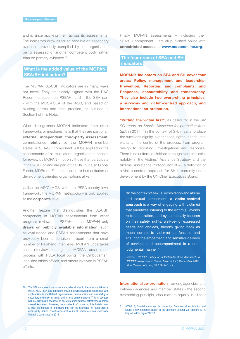<span id="page-13-0"></span>and is since applying them across its assessments. The indicators draw as far as possible on secondary evidence previously compiled by the organisation being assessed or another competent body, rather than on primary evidence.<sup>30</sup>

#### What is the added value of the MOPAN SEA/SH indicators?

The MOPAN SEA/SH indicators are in many ways not novel. They are closely aligned with the DAC Recommendation on PSEAH, and - the SEA part - with the MOS-PSEA of the IASC, and based on existing norms and best practice, as outlined in Section I of this Note.

What distinguishes MOPAN indicators from other frameworks or mechanisms is that they are part of an external, independent, third-party assessment, commissioned jointly by the MOPAN member states. A SEA/SH component will be applied in the assessments of all multilateral organisations chosen for review by MOPAN - not only those that participate in the IASC, or/and are part of the UN, but also Global Funds, MDBs or IFIs. It is applied to humanitarian or development oriented organisations alike.

Unlike the IASC's MOS, with their PSEA country-level framework, the MOPAN methodology is only applied at the **corporate** level.

Another feature that distinguishes the SEA/SH component in MOPAN assessments from other progress reviews on PSEAH is that MOPAN only draws on publicly available information, such as evaluations and PSEAH assessments that have previously been undertaken – apart from a small number of first-hand interviews. MOPAN undertakes such interviews during the MOPAN assessment process with PSEA focal points, the Ombudsman, legal and ethics offices, and others involved in PSEAH efforts.

Finally, MOPAN assessments – including their SEA/SH component – are all published online with unrestricted access, at www.mopanonline.org.

#### The four areas of SEA and SH indicators

MOPAN's indicators on SEA and SH cover four areas: Policy, management and leadership; Prevention; Reporting and complaints; and Response, accountability and transparency. They also include two overarching principles: a survivor- and victim-centred approach; and international co-ordination.

"Putting the victim first", as called for in the *UN SG report on Special Measures for protection from*  SEA in 2017,<sup>31</sup> in the context of SH, means to place the survivor's dignity, experiences, rights, needs, and wants at the centre of the process, from program design to reporting, investigations and response. There is no uniform definition; although elements exist notably in the Victims' Asistance Strategy and the Victims' Assistance Protocol (for SEA); a definition of a victim-centred approach for SH is currently under development by the UN Chief Executives Board.

"In the context of sexual exploitation and abuse and sexual harassment, a victim-centred approach is a way of engaging with victim(s) that prioritizes listening to the victim(s), avoids re-traumatization, and systematically focuses on their safety, rights, well-being, expressed needs and choices, thereby giving back as much control to victim(s) as feasible and ensuring the empathetic and sensitive delivery of services and accompaniment in a nonjudgmental manner."

*Source: UNHCR, Policy on a Victim-Centred Approach in UNHCR's response to Sexual Misconduct, December 2020, https://www.unhcr.org/5fdb345e7.pdf*

International co-ordination – among agencies, and between agencies and member states - the second overarching principle, also matters equally in all four

<sup>30</sup> The SEA component measures categories similar to the ones contained in the 22 MOS-PSEA Key Indicators (IASC), but was developed specifically with applicability to multilateral organisations, measurability, and availability of secondary evidence in mind; and is less comprehensive. This is because MOPAN provides a snapshot of an MO's organisational effectiveness across several key areas; however, the drawback of producing this holistic view is that the number of indicators that can be examined for each area is necessarily limited. Prioritisation of SEA and SH indicators was undertaken through a case study in 2019.

<sup>31</sup> A/71/818, Special measures for protection from sexual exploitation and abuse: a new approach, Report of the Secretary-General, 28 February 2017, <https://undocs.org/A/71/818>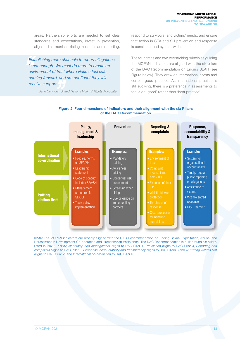<span id="page-14-0"></span>areas. Partnership efforts are needed to set clear standards and expectations, invest in prevention, align and harmonise existing measures and reporting,

*Establishing more channels to report allegations is not enough. We must do more to create an environment of trust where victims feel safe coming forward, and are confident they will receive support.*

*Jane Connors, United Nations Victims' Rights Advocate*

respond to survivors' and victims' needs, and ensure that action in SEA and SH prevention and response is consistent and system-wide.

The four areas and two overarching principles guiding the MOPAN indicators are aligned with the six pillars of the DAC Recommendation on Ending SEAH (see Figure below). They draw on international norms and current good practice. As international practice is still evolving, there is a preference in assessments to focus on 'good' rather than 'best practice'.



#### Figure 2. Four dimensions of indicators and their alignment with the six Pillars of the DAC Recommendation

Note: The MOPAN indicators are broadly aligned with the DAC Recommendation on Ending Sexual Exploitation, Abuse, and Harassment in Development Co-operation and Humanitarian Assistance. The DAC Recommendation is built around six pillars, listed in Box 1. *Policy, leadership and management* aligns to DAC Pillar 1; *Prevention* aligns to DAC Pillar 4, *Reporting and complaints* aligns to DAC Pillar 3; *Response, accountability and transparency* aligns to DAC Pillars 3 and 4; *Putting victims first*  aligns to DAC Pillar 2; and *International co-ordination* to DAC Pillar 5.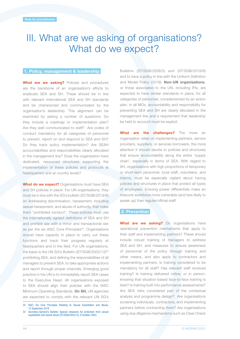### <span id="page-15-0"></span>III. What are we asking of organisations? What do we expect?

#### 1. Policy, management & leadership

What are we asking? Policies and procedures are the backbone of an organisation's efforts to eradicate SEA and SH. These should be in line with relevant international SEA and SH standards and be championed and communicated by the organisation's leadership. This alignment can be examined by asking a number of questions: Do they include a roadmap or implementation plan? Are they well communicated to staff? Are codes of conduct mandatory for all categories of personnel to prevent, report on and respond to SEA and SH? Do they track policy implementation? Are SEAH accountabilities and responsibilities clearly allocated in the management line? Does the organisation have dedicated, resourced structures supporting the implementation of these policies and protocols at headquarters and at country levels?

What do we expect? Organisations must have SEA and SH policies in place. For UN organisations, they must be in line with the SG's bulleti[n \(ST/SGB/2019/8\)](https://undocs.org/ST/SGB/2019/8) on Addressing discrimination, harassment, including sexual harassment, and abuse of authority, that make them "prohibited conduct". These policies must use the internationally agreed definitions of SEA and SH and prohibit sex with a minor and transactional sex as per the six IASC Core Principles<sup>32</sup>. Organisations should have capacity in place to carry out these functions and track their progress regularly at headquarters and in the field. For UN organisations, the basis is the UN [SG's Bulletin \(ST/SGB/2003/13\)](https://undocs.org/ST/SGB/2003/13)<sup>33</sup> prohibiting SEA, and defining the responsibilities of all managers to prevent SEA, to take appropriate actions and report through proper channels. Emerging good practice in the UN is to immediately report SEA cases to the Executive Head. All organisations exposed to SEA should align their policies with the [IASC](https://interagencystandingcommittee.org/system/files/3_minimum_operating_standards_mos-psea.pdf) [Minimum Operating Standards.](https://interagencystandingcommittee.org/system/files/3_minimum_operating_standards_mos-psea.pdf) On SH, UN agencies are expected to comply with the relevant [UN SG's](https://undocs.org/pdf?symbol=en/St/SGB/2008/5)

[Bulletins \(ST/SGB/2008/5](https://undocs.org/pdf?symbol=en/St/SGB/2008/5)) and [\(ST/SGB/2019/8\)](https://undocs.org/ST/SGB/2019/8) and to have a policy in line with the Uniform Definition and Model Policy (2019). Non-UN organisations, or those associated to the UN, including IFIs, are expected to have similar standards in place, for all categories of personnel, complemented by an action plan. In all MOs, accountability and responsibility for preventing SEA and SH are clearly allocated in the management line and a requirement that leadership be held to account must be explicit.

What are the challenges? The more an organisation relies on implementing partners, service providers, suppliers, or services borrowers, the more attention it should devote to policies and structures that ensure accountability along the entire 'supply chain', especially in terms of SEA. With regard to SH, organisations with high proportions of temporary or short-term personnel, local staff, volunteers, and interns, must be especially vigilant about having policies and structures in place that protect all types of employees. Ensuing power differentials make an insecure workforce more vulnerable (and less likely to speak up) than regular/official staff.

#### 2. Prevention

What are we asking? Do organisations have operational prevention mechanisms that apply to their staff and implementing partners? These should include robust training of managers to address SEA and SH, and measures to ensure awareness of personnel of the policy through training and other means, and also apply to contractors and implementing partners. Is training considered to be mandatory for all staff? Has relevant staff received training? Is training delivered online, or in person, knowing that situation-based face-to-face training is best? Is training built into performance assessments? Are SEA risks considered part of the contextual analysis and programme design? Are organisations screening individuals, contractors, and implementing partners before contracting them? Are organisations using due diligence mechanisms such as Clear Check

<sup>32</sup> IASC, [Six Core Principles Relating to Sexual Exploitation and Abuse,](https://interagencystandingcommittee.org/system/files/iasc_six_core_principles_relating_to_sexual_exploitation_and_abuse_sept_2019.pdf) 12 September 2019

<sup>33</sup> [Secretary-General's Bulletin: Special measures for protection from sexual](https://undocs.org/ST/SGB/2003/13) [exploitation and sexual abuse \(ST/SGB/2003/13\),](https://undocs.org/ST/SGB/2003/13) 9 October 2003.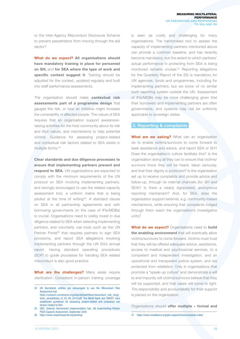<span id="page-16-0"></span>or the Inter-Agency Misconduct Disclosure Scheme to prevent perpetrators from moving through the aid sector?

What do we expect? All organisations should have mandatory training in place for personnel on SH; and for SEA where the type of work and specific context suggest it. Training should be adjusted for the context, updated regularly and built into staff performance assessments.

The organisation should make contextual risk assessments part of a programme design that gauges the risk, or how an initiative might increase the vulnerability of affected people. The nature of SEA requires that an organisation support awarenessraising activities for the host community about its risk and illicit nature, and mechanisms to help potential victims. Guidance for assessing project-related and contextual risk factors related to SEA exists in multiple forms.<sup>34</sup>

Clear standards and due diligence processes to ensure that implementing partners prevent and respond to SEA. UN organisations are expected to comply with the minimum requirements of the UN protocol on SEA involving implementing partners, and strongly encouraged to use the related capacity assessment tool, a uniform matrix that is being piloted at the time of writing<sup>35</sup>. A standard clause on SEA in all partnership agreements and with borrowing governments (in the case of IFIs/MDBs) is crucial. Organisations need to visibly invest in due diligence related to SEA when selecting implementing partners, and voluntarily use tools such as the UN Partner Portal<sup>36</sup> that requires partners to sign SEA provisions, and report SEA allegations involving implementing partners through the UN SG's annual report. Having standard operating procedures (SOP) to guide processes for handling SEA related misconduct is also good practice.

What are the challenges? Many areas require clarification. Consistent in-person training coverage

[https://conduct.unmissions.org/sites/default/files/misconduct\\_risk\\_mngt\\_](https://conduct.unmissions.org/sites/default/files/misconduct_risk_mngt_tools_consolidated_vf_24_09_2019.pdf) [tools\\_consolidated\\_vf\\_24\\_09\\_2019.pdf.](https://conduct.unmissions.org/sites/default/files/misconduct_risk_mngt_tools_consolidated_vf_24_09_2019.pdf) The World Bank and UNICEF have established guidelines for assessing project-related and contextual risk actors related to SEA.

36 <https://www.unpartnerportal.org/landing/>

is seen as costly and challenging for many organisations. The harmonised tool to assess the capacity of implementing partners mentioned above can provide a common baseline, and has recently become mandatory, but the extent to which partners' actual performance in protecting from SEA is being monitored remains unclear.<sup>37</sup> Reporting allegations for the Quarterly Report of the SG is mandatory for UN agencies, funds and programmes, including for implementing partners; but we know of no similar such reporting system outside the UN. Assessment of IFIs/MDBs may be more challenging given that their borrowers and implementing partners are often governments, and systems may not be uniformly applicable to sovereign states.

#### 3. Reporting & complaints

What are we asking? What can an organisation do to enable victims/survivors to come forward to seek assistance and advice, and report SEA or SH? Does the organisation's culture facilitate this? Is the organisation doing all they can to ensure that victims/ survivors know they will be heard, taken seriously, and that their dignity is protected? Is the organisation set up to receive complaints and provide advice and follow-up, through its internal channels (for SH and SEA)? Is there a clearly signposted, anonymous reporting mechanism? And, for SEA, does the organisation support external, e.g. community-based mechanisms, while ensuring that complaints lodged through them reach the organisation's investigative units?

What do we expect? Organisations need to build the enabling environment that will eventually allow victims/survivors to come forward. Victims must trust that they will be offered adequate advice, assistance, access to medical and psychosocial services, to a competent and independent investigation, and an operational and transparent justice system, and are protected from retaliation. Only in organisations that promote a "speak-up culture" and demonstrate a will to end impunity will victims/survivors believe that they will be supported, and that cases will come to light. The responsibility and accountability for their support is placed on the organisation.

Organisations should offer multiple – formal and

37 <https://www.chsalliance.org/get-support/resource/pseah-index/>

<sup>34</sup> UN Secretariat entities are encouraged to use the Misconduct Risk Assessment tool

<sup>35</sup> [IASC, \(Interim\) Harmonized Implementation Tool, UN Implementing Partner](https://interagencystandingcommittee.org/un-implementing-partner-psea-capacity-assessment-0)  [PSEA Capacity Assessment,](https://interagencystandingcommittee.org/un-implementing-partner-psea-capacity-assessment-0) September 2020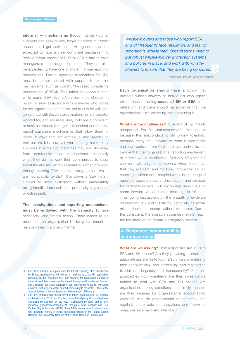<span id="page-17-0"></span>informal – mechanisms through which victims/ survivors can seek advice, lodge a complaint, report abuses, and get assistance. All agencies can be expected to have a clear complaint mechanism to receive formal reports of SH<sup>38</sup> or SEA<sup>39</sup>; having case managers is seen as good practice. They can also be expected to have one or more informal reporting mechanisms. Formal reporting mechanism for SEA must be complemented with support to external mechanisms, such as community-based complaints mechanisms (CBCM). This takes into account that while some SEA victims/survivors may choose to report or seek assistance with someone who works for the organisation, others will not trust or be willing to co-operate with the very organisation their perpetrator worked for, and are more likely to lodge a complaint or seek assistance through independent communitybased complaint mechanisms that allow them to report in ways that are contextual and specific to their culture. It is, however, worth noting that victims/ survivors in some circumstances may also shy away from community-based mechanisms, especially when they do not want their communities to know about the abuses. Victim assistance is often provided through existing GBV response programmes, which are not specific to SEA. This allows a SEA victim/ survivor to seek assistance without immediately being identified as such (and potentially stigmatised or ostracised).

The investigations and reporting mechanisms must be endowed with the capacity to take necessary (and timely) action. There needs to be proof that an organisation is doing its utmost to resolve cases in a timely manner.

*Whistle-blowers and those who report SEA and SH frequently face retaliation, and fear of reporting is widespread. Organisations need to put robust whistle-blower protection systems and policies in place, and work with whistleblowers to ensure that they are being honoured.*

*Miranda Brown, Whistle-blower*

Each organisation should have a policy that protects whistle-blowers or individuals who report misconduct, including cases of SH or SEA, from retaliation, and there should be evidence that the organisation is implementing and honouring it.

What are the challenges? SEA and SH go mainly unreported. For SH victims/survivors, this can be because this misconduct is still widely tolerated, because many are unaware of what it constitutes and fear reprisals from their employer and/or do not believe that their organisations' reporting mechanism or redress would be effective. Similarly, SEA victims/ survivors will only come forward when they trust that they will gain, and not lose, from doing so. An enabling environment – coupled with a broad range of reporting opportunities, and protection and services for victims/survivors, will encourage individuals to come forward. An additional challenge is reflected in on-going discussions on the breadth of evidence required for SEA and SH claims, especially as sexual misconduct often occurs without witnesses. Due to this constraint, the available evidence may not reach the threshold of the formal investigatory system.

#### 4. Response, accountability & transparency

What are we asking? How responsive are MOs to SEA and SH issues? Are they providing prompt and adequate assistance to victims/survivors, maintaining their confidentiality, and addressing and responding to claims adequately and transparently? Are their approaches victim-centred? Are their investigators trained to deal with SEA and SH cases? Are organisations taking sanctions in a timely manner, are their systems for organisational accountability working? And do organisations transparently and regularly share data on allegations and follow-up measures externally and internally?

<sup>38</sup> For SH, in addition to opportunities for formal reporting, often shepherded by Ethics, Investigations, HR offices, or helplines (e.g. the UN application, SpeakUp, on the Prevention of SH and Abuse in the Workplace), options for informal resolution should also be offered, through an Ombudsman, Conduct and Discipline Team, staff counsellors, staff representative bodies, workplace advisors, staff lawyers, victim support officers/rights advocates, Office of the Special Adviser on Gender Issues and Advancement of Women).

<sup>39</sup> For SEA, organisations should strive to follow good practice for example contained in the 2016 Best Practice Guide: Inter-Agency Community-Based Complaint Mechanisms by the IASC (shepherded by IOM), and to offer individual guidance/accompaniment, through a case manager and Field Victims' Rights Advocates (FVRA). Such FVRAs are currently in place in only four locations, namely in peace operations settings in the Central African Republic, the Democratic Republic of the Congo, Haiti, and South Sudan.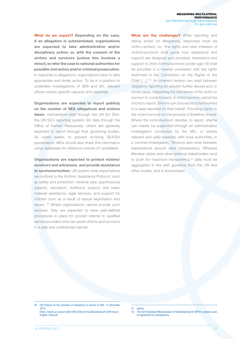MEASURING MULTILATERAL PERFORMANCE ON PREVENTING AND F TO SEA AND SH

What do we expect? Depending on the case, if an allegation is substantiated, organisations are expected to take administrative and/or disciplinary action; or, with the consent of the victims and survivors (unless this involves a minor), to refer the case to national authorities for possible civil action and/or criminal prosecution. In response to allegations, organisations have to take appropriate and timely action. To be in a position to undertake investigations of SEA and SH, relevant offices require specific capacity and expertise.

Organisations are expected to report publicly on the number of SEA allegations and actions taken; mechanisms exist through the UN (for SEA, the UN SG's reporting system; SH data through the Office of Human Resources); others are generally expected to report through their governing bodies. As noted earlier, to prevent re-hiring SEA/SH perpetrators, MOs should also share this information using databases for reference checks of candidates.

Organisations are expected to protect victims/ survivors and witnesses, and provide assistance to survivors/victims. UN system-wide expectations are outlined in the Victims' Assistance Protocol, such as safety and protection, medical care, psychosocial support, education, livelihood support and basic material assistance, legal services, and support for children born as a result of sexual exploitation and abuse. 40 Where organisations cannot provide such services, they are expected to have well-defined procedures in place for prompt referral to qualified service providers who can assist victims and survivors in a safe and confidential manner.

What are the challenges? While reporting and taking action on allegations, responses must be victim-centred; i.e. "the rights and best interests of victims/survivors shall guide how assistance and support are designed and provided. Assistance and support to child victims/survivors (under age 18) shall be provided in a manner consistent with the rights enshrined in the Convention on the Rights of the Child […]."41 An inherent tension can exist between obligatory reporting (to prevent further abuse) and, in some cases, respecting the reluctance of the victim or survivor to come forward. A victim/survivor cannot be forced to report. She/he can choose not to be involved in a case reported on their behalf. Providing clarity to the victim/survivor on the process is therefore crucial. Where the victim/survivor decides to report, she/he can merely be supported through an administrative investigation conducted by the MO, or (where relevant and safe) assisted, with local authorities, in a criminal investigation. Tensions also exist between expectations around data transparency. Whereas Member states and other external stakeholders tend to push for maximum transparency,<sup>42</sup> data must be aggregated in line with guidance from the UN and other bodies, and is anonymised.

- 40 UN Protocol on the provision of assistance to victims of SEA, 12 December 2019, [https://www.un.org/en/pdfs/UN%20Victim%20Assistance%20Protocol\\_](https://www.un.org/en/pdfs/UN%20Victim%20Assistance%20Protocol_English_Final.pdf)
- ibidem
- 42 The 2019 Standard Memorandum of Understanding for MPTFs contains such an agreement on transparency.

[English\\_Final.pdf](https://www.un.org/en/pdfs/UN%20Victim%20Assistance%20Protocol_English_Final.pdf)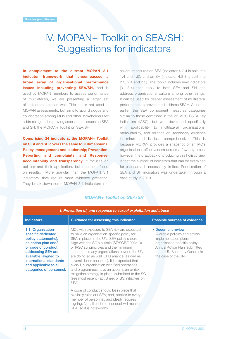### <span id="page-19-0"></span>IV. MOPAN+ Toolkit on SEA/SH: Suggestions for indicators

In complement to the current [MOPAN 3.1](http://www.mopanonline.org/ourwork/ourapproachmopan30/Mopan%20Methodology%20Manual%202019.pdf) indicator framework that encompasses a broad array of organisational performance issues including preventing SEA/SH, and is used by MOPAN members to assess performance of multilaterals, we are presenting a larger set of indicators here as well. This set is not used in MOPAN assessments, but aims to spur dialogue and collaboration among MOs and other stakeholders for addressing and improving assessment issues on SEA and SH: the MOPAN+ Toolkit on SEA/SH.

Comprising 24 indicators, the MOPAN+ Toolkit on SEA and SH covers the same four dimensions: Policy, management and leadership; Prevention; Reporting and complaints; and Response, accountability and transparency. It focuses on policies and their application, but does not focus on results. More granular than the MOPAN 3.1 indicators, they require more evidence gathering. They break down some MOPAN 3.1 indicators into

several measures on SEA (indicator 4.7.4 is split into 1.4 and 1.5), and on SH (indicator 4.8.3 is split into 2.3, 2.4 and 2.5). The toolkit includes new indicators (3.1-3.4) that apply to both SEA and SH and address organisational culture among other things. It can be used for deeper assessment of multilateral performance to prevent and address SEAH. As noted earlier, the SEA component measures categories similar to those contained in the 22 MOS-PSEA Key Indicators (IASC), but was developed specifically with applicability to multilateral organisations, measurability, and reliance on secondary evidence in mind; and is less comprehensive. This is because MOPAN provides a snapshot of an MO's organisational effectiveness across a few key areas; however, the drawback of producing this holistic view is that the number of indicators that can be examined for each area is necessarily limited. Prioritisation of SEA and SH indicators was undertaken through a case study in 2019.

| <b>Guidance for assessing this indicator</b>                                                                                                                                                                                                                                                                                                                                                                                                                                                                                                                                                                                                                                                        |                                                                                                                                                                                                           |
|-----------------------------------------------------------------------------------------------------------------------------------------------------------------------------------------------------------------------------------------------------------------------------------------------------------------------------------------------------------------------------------------------------------------------------------------------------------------------------------------------------------------------------------------------------------------------------------------------------------------------------------------------------------------------------------------------------|-----------------------------------------------------------------------------------------------------------------------------------------------------------------------------------------------------------|
|                                                                                                                                                                                                                                                                                                                                                                                                                                                                                                                                                                                                                                                                                                     | <b>Possible sources of evidence</b>                                                                                                                                                                       |
| MOs with exposure to SEA risk are expected<br>to have an organisation-specific policy for<br>SEA in place. In the UN, SEA policy should<br>align with the SG's bulletin (ST/SGB/2003/13)<br>or IASC six principles and the minimum<br>standards; many organisations beyond the UN<br>are doing so as well (CHS alliance, as well as<br>several donor countries). It is expected that<br>every UN organisation with field operations<br>and programmes have an action plan or risk<br>mitigation strategy in place, submitted to the SG<br>(see most recent Fact Sheet of SG initiatives on<br>SEA).<br>A code of conduct should be in place that<br>explicitly rules out SEA, and, applies to every | • Document review:<br>Available policies and action/<br>implementation plans,<br>organisation-specific policy;<br>Annual Action Plan (submitted<br>to the UN Secretary General in<br>the case of the UN). |
|                                                                                                                                                                                                                                                                                                                                                                                                                                                                                                                                                                                                                                                                                                     | member of personnel, and ideally requires<br>signing. Not all codes of conduct will mention<br>SEA; so it is noteworthy.                                                                                  |

#### *MOPAN+ Toolkit on SEA/SH*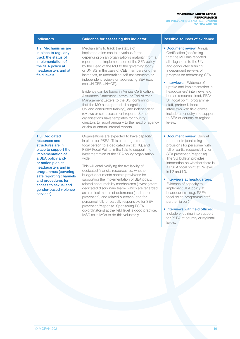for PSEA at country or regional

levels.

| <b>Indicators</b>                                                                                                                                                                                                                                                                                          | <b>Guidance for assessing this indicator</b>                                                                                                                                                                                                                                                                                                                                                                                                                                                                                                                                                                                                                                                                                                                                                                                                      | <b>Possible sources of evidence</b>                                                                                                                                                                                                                                                                                                                                                                                                                                                                                   |
|------------------------------------------------------------------------------------------------------------------------------------------------------------------------------------------------------------------------------------------------------------------------------------------------------------|---------------------------------------------------------------------------------------------------------------------------------------------------------------------------------------------------------------------------------------------------------------------------------------------------------------------------------------------------------------------------------------------------------------------------------------------------------------------------------------------------------------------------------------------------------------------------------------------------------------------------------------------------------------------------------------------------------------------------------------------------------------------------------------------------------------------------------------------------|-----------------------------------------------------------------------------------------------------------------------------------------------------------------------------------------------------------------------------------------------------------------------------------------------------------------------------------------------------------------------------------------------------------------------------------------------------------------------------------------------------------------------|
| 1.2. Mechanisms are<br>in place to regularly<br>track the status of<br>implementation of<br>the SEA policy at<br>headquarters and at<br>field levels.                                                                                                                                                      | Mechanisms to track the status of<br>implementation can take various forms,<br>depending on an organisation's maturity: from a<br>report on the implementation of the SEA policy<br>by the Head of the MO to the governing body<br>or UN SG in the case of CEB members or other<br>instances, to undertaking self-assessments or<br>independent reviews on addressing SEA (e.g.<br>see UNICEF, UNHCR).<br>Evidence can be found in Annual Certification,<br>Assurance Statement Letters, or End of Year<br>Management Letters to the SG (confirming<br>that the MO has reported all allegations to the<br>UN and conducted training), and independent<br>reviews or self-assessment reports. Some<br>organisations have templates for country<br>directors to report annually to the head of agency<br>or similar annual internal reports.        | <b>• Document review: Annual</b><br>Certification (confirming<br>that the MO has reported<br>all allegations to the UN<br>and conducted training);<br>Independent reviews of<br>progress on addressing SEA.<br>· Interviews: Evidence of<br>uptake and implementation in<br>headquarters' interviews (e.g.<br>human resources lead, SEA/<br>SH focal point, programme<br>staff, partner liaison),<br>interviews with field offices<br>include an enquiry into support<br>to SEA at country or regional<br>levels.     |
| 1.3. Dedicated<br>resources and<br>structures are in<br>place to support the<br>implementation of<br>a SEA policy and/<br>or action plan at<br>headquarters and in<br>programmes (covering<br>safe reporting channels<br>and procedures for<br>access to sexual and<br>gender-based violence<br>services). | Organisations are expected to have capacity<br>in place for PSEA. This can range from a<br>focal person to a dedicated unit at HQ, and<br>PSEA Focal Points in the field to support the<br>implementation of the SEA policy organisation-<br>wide.<br>This will entail verifying the availability of<br>dedicated financial resources i.e. whether<br>budget documents contain provisions for<br>supporting the implementation of SEA policy,<br>related accountability mechanisms (investigators,<br>dedicated disciplinary team), which are regarded<br>as a critical means of deterrence (and hence<br>prevention), and related outreach; and for<br>personnel fully or partially responsible for SEA<br>prevention/response. Sponsoring PSEA<br>co-ordinator(s) at the field level is good practice;<br>IASC asks MOs to do this voluntarily. | · Document review: Budget<br>documents (containing<br>provisions for personnel with<br>full or partial responsibility for<br>SEA prevention/response).<br>The SG bulletin provides<br>information on whether there is<br>a PSEA focal point at P4 level<br>in L2 and L3.<br>• Interviews at headquarters:<br>Evidence of capacity to<br>implement SEA policy at<br>headquarters (e.g. PSEA<br>focal point, programme staff,<br>partner liaison)<br>• Interviews with field offices:<br>Include enquiring into support |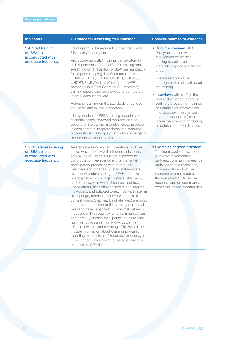| <b>Indicators</b>                                                                     | <b>Guidance for assessing this indicator</b>                                                                                                                                                                                                                                                                                                                                                                                                                                                                                                                                                                                                                                                                                                                                                                                                                                                                                                                                                                                                                                                                                                      | <b>Possible sources of evidence</b>                                                                                                                                                                                                                                                                                                                                                                                                                                                                               |
|---------------------------------------------------------------------------------------|---------------------------------------------------------------------------------------------------------------------------------------------------------------------------------------------------------------------------------------------------------------------------------------------------------------------------------------------------------------------------------------------------------------------------------------------------------------------------------------------------------------------------------------------------------------------------------------------------------------------------------------------------------------------------------------------------------------------------------------------------------------------------------------------------------------------------------------------------------------------------------------------------------------------------------------------------------------------------------------------------------------------------------------------------------------------------------------------------------------------------------------------------|-------------------------------------------------------------------------------------------------------------------------------------------------------------------------------------------------------------------------------------------------------------------------------------------------------------------------------------------------------------------------------------------------------------------------------------------------------------------------------------------------------------------|
| 1.4. Staff training<br>on SEA policies<br>is conducted with<br>adequate frequency.    | Training should be required by the organisation's<br>SEA policy/action plan.<br>Pre-deployment SEA training is mandatory for<br>all UN personnel. As of 11/2020, training and<br>e-learning on 'Prevention of SEA' are mandatory<br>for all peacekeeping, UN Secretariat, IOM,<br>UNAIDS, UNDP, UNFPA, UNHCR, UNICEF,<br>UNOPS, UNRWA, UN-Women, and WFP<br>personnel (see Fact Sheet on SG initiatives);<br>training should also be provided to contractors,<br>interns, consultants, etc.<br>Refresher training on the standards of conduct<br>should be annual and mandatory.<br>Ideally, dedicated PSEA training modules are<br>scenario-based, reviewed regularly, and go<br>beyond online training modules. Good practice<br>is considered to integrate these into standard<br>organisational training (e.g. induction, emergency<br>preparedness, security, etc.).                                                                                                                                                                                                                                                                         | • Document review: SEA<br>Policy/action plan with a<br>requirement for training;<br>training modules and<br>materials, especially standard<br>ones.<br>Communications from<br>management to all staff about<br>the training.<br><b>• Interviews</b> with staff (in the<br>field and at headquarters) to<br>verify the provision of training,<br>its uptake and effectiveness.<br>Interviews (with field offices<br>and at headquarters) can<br>probe the provision of training,<br>its uptake, and effectiveness. |
| 1.5. Awareness-raising<br>on SEA policies<br>is conducted with<br>adequate frequency. | Awareness-raising (in field operations) is done<br>in two ways - jointly with other organisations,<br>and by the MO itself. MOs are expected to<br>contribute to inter-agency efforts that entail<br>participatory processes with community<br>members and other associated stakeholders<br>to support understanding of SEAH, that it is<br>unacceptable by the organisations' standards,<br>and of the ways in which it can be reported.<br>These efforts, accessible to literate and illiterate<br>individuals, and adapted to each context in terms<br>of language, terminology and awareness of<br>cultural norms (that may be challenged) are most<br>important. In addition to this, an organisation also<br>needs to have capacity to do minimal outreach<br>independently through external communications<br>and carefully chosen focal points, so as to raise<br>beneficiary awareness on PSEA, access to<br>referral services, and reporting. This would also<br>include information about community-based<br>reporting mechanisms. "Adequate" frequency is<br>to be judged with respect to the organisation's<br>exposure to SEA risk. | • Examples of good practice:<br>Training modules developed<br>jointly for implementing<br>partners, community meetings,<br>radio spots, text messages,<br>communication of phone<br>numbers or email addresses<br>through which SEA can be<br>reported, and on community<br>complaint-based mechanisms.                                                                                                                                                                                                           |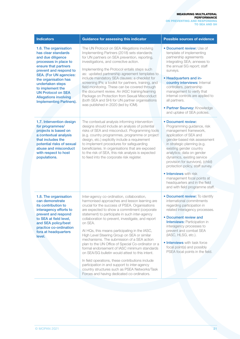|  | <b>Indicators</b>                                                                                                                                                                                                                                                                                                                            | <b>Guidance for assessing this indicator</b>                                                                                                                                                                                                                                                                                                                                                                                                                                                                                                                                                                                                                                                                                                                                                                              | <b>Possible sources of evidence</b>                                                                                                                                                                                                                                                                                                                                                                                                                           |
|--|----------------------------------------------------------------------------------------------------------------------------------------------------------------------------------------------------------------------------------------------------------------------------------------------------------------------------------------------|---------------------------------------------------------------------------------------------------------------------------------------------------------------------------------------------------------------------------------------------------------------------------------------------------------------------------------------------------------------------------------------------------------------------------------------------------------------------------------------------------------------------------------------------------------------------------------------------------------------------------------------------------------------------------------------------------------------------------------------------------------------------------------------------------------------------------|---------------------------------------------------------------------------------------------------------------------------------------------------------------------------------------------------------------------------------------------------------------------------------------------------------------------------------------------------------------------------------------------------------------------------------------------------------------|
|  | 1.6. The organisation<br>has clear standards<br>and due diligence<br>processes in place to<br>ensure that partners<br>prevent and respond to<br><b>SEA.</b> (For UN agencies:<br>the organisation has<br>undertaken steps<br>to implement the<br><b>UN Protocol on SEA</b><br><b>Allegations involving</b><br><b>Implementing Partners).</b> | The UN Protocol on SEA Allegations involving<br>Implementing Partners (2018) sets standards<br>for UN partners on SEA prevention, reporting,<br>investigations, and corrective action.<br>Implementing the Protocol entails steps such<br>as: updated partnership agreement templates to<br>include mandatory SEA clauses; a checklist for<br>screening IPs; a toolkit for partners, training, and<br>field monitoring. These can be covered through<br>the document review. An IASC training/learning<br>Package on Protection from Sexual Misconduct<br>(both SEA and SH) for UN partner organisations<br>was published in 2020 (led by IOM).                                                                                                                                                                           | <b>• Document review: Use of</b><br>template of implementing<br>partnership agreements<br>integrating SEA; annexes to<br>the annual SG report; staff<br>surveys.<br>• Headquarters and in-<br>country interviews: Internal<br>controllers, partnership<br>management to verify that<br>internal controls are applied to<br>all partners.<br>· Partner Ssurvey: Knowledge<br>and uptake of SEA policies.                                                       |
|  | 1.7. Intervention design<br>for programmes/<br>projects is based on<br>a contextual analysis<br>that includes the<br>potential risks of sexual<br>abuse and misconduct<br>with respect to host<br>populations.                                                                                                                               | The contextual analysis informing intervention<br>designs should include an analysis of potential<br>risks of SEA and misconduct. Programming tools<br>(e.g. country programmes, programme or project<br>design, etc.) explicitly include a requirement<br>to implement procedures for safeguarding<br>beneficiaries. In organisations that are exposed<br>to the risk of SEA, this risk analysis is expected<br>to feed into the corporate risk register.                                                                                                                                                                                                                                                                                                                                                                | • Document review:<br>Programming guidance, risk<br>management framework,<br>application of SEA and<br>gender-based risk assessment<br>in strategic planning (e.g.<br>existing gender country<br>analytics; data on gender<br>dynamics, existing service<br>provision for survivors), (child)<br>protection policy, staff survey.<br>• Interviews with risk<br>management focal points at<br>headquarters and in the field<br>and with field programme staff. |
|  | 1.8. The organisation<br>can demonstrate<br>its contribution to<br>interagency efforts to<br>prevent and respond<br>to SEA at field level,<br>and SEA policy/best<br>practice co-ordination<br>fora at headquarters<br>level.                                                                                                                | Inter-agency co-ordination, collaboration,<br>harmonised approaches and lesson learning are<br>crucial for the success of PSEA. Organisations<br>are expected to show a commitment (corporate<br>statement) to participate in such inter-agency<br>collaboration to prevent, investigate, and report<br>on SEA.<br>At HQs, this means participating in the IASC,<br>High Level Steering Group on SEA or similar<br>mechanisms. The submission of a SEA action<br>plan to the UN Office of Special Co-ordinator or a<br>formal endorsement of IASC minimum standards<br>on SEA/SG bulletin would attest to this intent.<br>In field operations, these contributions include<br>participation in and support to inter-agency<br>country structures such as PSEA Networks/Task<br>Forces and having dedicated co-ordinators. | <b>• Document review:</b> To identify<br>international commitments<br>regarding participation in<br>related interagency processes.<br>• Document review and<br><b>Interviews: Participation in</b><br>interagency processes to<br>prevent and combat SEA<br>(IASC, HLSG, etc.).<br><b>. Interviews</b> with task force<br>focal point(s) and possibly<br>PSEA focal points in the field.                                                                      |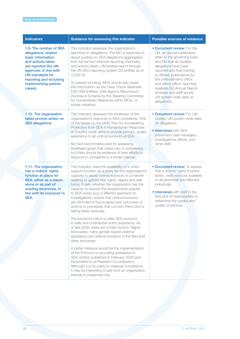| <b>Indicators</b>                                                                                                                                                                                                                   | <b>Guidance for assessing this indicator</b>                                                                                                                                                                                                                                                                                                                                                                                                                                                                                                                                                                                                                                                                                                                                                                                                                                                                                                                                                                                                                                                                                                              | <b>Possible sources of evidence</b>                                                                                                                                                                                                                                                                                                                                        |
|-------------------------------------------------------------------------------------------------------------------------------------------------------------------------------------------------------------------------------------|-----------------------------------------------------------------------------------------------------------------------------------------------------------------------------------------------------------------------------------------------------------------------------------------------------------------------------------------------------------------------------------------------------------------------------------------------------------------------------------------------------------------------------------------------------------------------------------------------------------------------------------------------------------------------------------------------------------------------------------------------------------------------------------------------------------------------------------------------------------------------------------------------------------------------------------------------------------------------------------------------------------------------------------------------------------------------------------------------------------------------------------------------------------|----------------------------------------------------------------------------------------------------------------------------------------------------------------------------------------------------------------------------------------------------------------------------------------------------------------------------------------------------------------------------|
| 1.9. The number of SEA<br>allegations, related<br>basic information<br>and actions taken<br>are reported (for UN<br>agencies: in line with<br><b>UN standards for</b><br>reporting and including<br>implementing partner<br>cases). | This indicator assesses the organisation's<br>reporting on allegations. The MO is expected to<br>report publicly on SEA allegations (aggregated<br>from formal and informal reporting channels),<br>and actions taken. UN entities report through<br>the UN SG's reporting system (20 entities as of<br>$12/2019$ ).<br>To prevent re-hiring, MOs should also share<br>this information via the Clear Check database<br>(UN CEB entities), Inter-Agency Misconduct<br>Disclosure Scheme by the Steering Committee<br>for Humanitarian Response (other MOs), or<br>similar initiatives.                                                                                                                                                                                                                                                                                                                                                                                                                                                                                                                                                                    | • Document review: For the<br>UN, an annual certification<br>letter to the governing body<br>and SG that all credible<br>allegations have been<br>reported and that training<br>is offered; publications by<br>the ombudsman's office<br>and ethics office, reporting<br>available SG Annual Report<br>annexes and staff survey.<br>UN system-wide data on<br>allegations. |
| 1.10. The organisation<br>takes prompt action on<br><b>SEA allegations.</b>                                                                                                                                                         | This indicator assesses the timeliness of the<br>organisation's response to SEA complaints. One<br>of the bases i.e. the IASC Plan for Accelerating<br>Protection from SEA in Humanitarian Response<br>at Country Level, aims to provide prompt, quality<br>assistance to all victims/survivors of SEA.<br>No hard benchmarks exist for assessing<br>timeliness (given that cases vary in complexity),<br>but there should be evidence of best efforts to<br>respond to complaints in a timely manner.                                                                                                                                                                                                                                                                                                                                                                                                                                                                                                                                                                                                                                                    | • Document review: For UN<br>bodies, UN system-wide data<br>on allegations.<br>• Interviews with SEA<br>prevention case managers,<br>investigations offices, and<br>other staff.                                                                                                                                                                                           |
| 1.11. The organisation<br>has a victims' rights<br>function in place for<br>SEA, either as a stand-<br>alone or as part of<br>existing structures, in<br>line with its exposure to<br>SEA.                                          | This indicator uses the availability of a victim<br>support function as a proxy for the organisation's<br>capacity to assist victims/survivors in a manner<br>seeking to uphold their rights, dignity and well-<br>being. It asks whether the organisation has the<br>capacity to respect the requirements specific<br>to SEA cases (e.g. a different approach to<br>investigations, ensure that victims/survivors<br>are informed of the progress and outcomes of<br>actions or processes that concern them) and is<br>taking these seriously.<br>The function's role is to refer SEA survivors<br>to safe and confidential victim assistance. As<br>of late 2020, there are 4 Field Victims' Rights<br>Advocates, many gender-based violence<br>assistance and referral functions in the field and<br>other structures.<br>A better measure would be the implementation<br>of the Protocol on providing assistance to<br>SEA victims, published in February 2020 and<br>transmitted to all Resident Co-ordinators.<br>Although it is too early to measure compliance,<br>it may be interesting to ask how an organisation<br>intends to implement this. | <b>• Document review:</b> To assess<br>that a victims' rights function<br>exists, verify services available<br>to all personnel and affected<br>individuals.<br>• Interviews with staff in the<br>field and at headquarters to<br>determine the uptake and<br>quality of services.                                                                                         |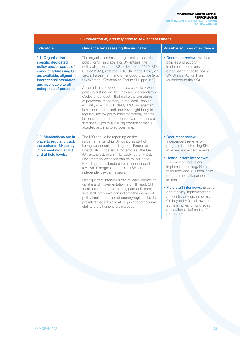#### MEASURING MULTILATERAL PERFORMANCE

ON PREVENTING AND RESPONDING TO SEA AND SH

<span id="page-24-0"></span>

|                                                                                                                                                                                                          | 2. Prevention of, and response to sexual harassment                                                                                                                                                                                                                                                                                                                                                                                                                                                                                                                                                                                                                                                                                                                                                             |                                                                                                                                                                                                                                                                                                                                                                                                                                                                                                |
|----------------------------------------------------------------------------------------------------------------------------------------------------------------------------------------------------------|-----------------------------------------------------------------------------------------------------------------------------------------------------------------------------------------------------------------------------------------------------------------------------------------------------------------------------------------------------------------------------------------------------------------------------------------------------------------------------------------------------------------------------------------------------------------------------------------------------------------------------------------------------------------------------------------------------------------------------------------------------------------------------------------------------------------|------------------------------------------------------------------------------------------------------------------------------------------------------------------------------------------------------------------------------------------------------------------------------------------------------------------------------------------------------------------------------------------------------------------------------------------------------------------------------------------------|
| <b>Indicators</b>                                                                                                                                                                                        | <b>Guidance for assessing this indicator</b>                                                                                                                                                                                                                                                                                                                                                                                                                                                                                                                                                                                                                                                                                                                                                                    | <b>Possible sources of evidence</b>                                                                                                                                                                                                                                                                                                                                                                                                                                                            |
| 2.1. Organisation-<br>specific dedicated<br>policy and/or codes of<br>conduct addressing SH<br>are available, aligned to<br>international standards<br>and applicable to all<br>categories of personnel. | The organisation has an organisation-specific<br>policy for SH in place. For UN entities, the<br>policy aligns with the SG bulletin from 2019 (ST/<br>SGB/2019/8), with the 2018 UN Model Policy on<br>sexual harassment, and other good practice (e.g.<br>UN Women, "Towards an End to SH" pps. 8-9).<br>Action plans are good practice especially when a<br>policy is first issued, but they are not mandatory.<br>Codes of conduct - that make the signatures<br>of personnel mandatory, in the ideal - should<br>explicitly rule out SH. Ideally, MO management<br>has appointed an individual/oversight body to<br>regularly review policy implementation, identify<br>lessons learned and best practices and ensure<br>that the SH policy is a living document that is<br>adapted and improved over time. | <b>• Document review: Available</b><br>policies and action/<br>implementation plans,<br>organisation-specific policy,<br><b>UN: Annual Action Plan</b><br>(submitted to the SG).                                                                                                                                                                                                                                                                                                               |
| 2.2. Mechanisms are in<br>place to regularly track<br>the status of SH policy<br>implementation at HQ<br>and at field levels.                                                                            | The MO should be reporting on the<br>implementation of its SH policy as part of<br>its regular annual reporting to its Executive<br>Board (UN Funds and Programmes), the GA<br>(UN agencies), or a similar body (other MOs).<br>Documentary evidence can be found in the<br>Board agenda (standard item), independent<br>reviews of progress addressing SH, and<br>independent expert reviews.<br>Headquarters interviews can reveal evidence of<br>uptake and implementation (e.g. HR lead, SH<br>focal point, programme staff, partner liaison);<br>field staff interviews can indicate the degree of<br>policy implementation at country/regional levels,<br>provided that administrative, junior and national<br>staff and staff unions are included.                                                       | • Document review:<br>Independent reviews of<br>progress in addressing SH,<br>independent expert reviews.<br>• Headquarters interviews:<br>Evidence of uptake and<br>implementation (e.g. Human<br>resources lead, SH focal point,<br>programme staff, partner<br>liaison).<br>· Field staff interviews: Enquire<br>about policy implementation<br>at country or regional levels.<br>Go beyond HR and towards<br>administrative, junior grades<br>and national staff and staff<br>unions, etc. |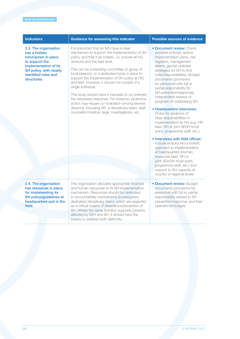| <b>Indicators</b> |  |  |
|-------------------|--|--|
|                   |  |  |

2.3. The organisation has a holistic mechanism in place to support the implementation of its SH policy, with clearly identified roles and structures.

#### Guidance for assessing this indicator **Possible sources of evidence**

It is important that an MO have a clear mechanism to support the implementation of SH policy, and that it be holistic, i.e. include all HQ divisions and the field level.

This can be a standing committee or group of focal persons, or a dedicated body in place to support the implementation of SH policy at HQ and field. However, it should not consist of a single individual.

This body should have a mandate to co-ordinate the necessary response. For instance, protective action may require co-ordination among several divisions, including HR, a disciplinary team, staff counsellor/medical, legal, investigations, etc.

• Document review: Check available policies, action/ implementation plans, risk registers, management letters, gender policies/ strategies for SH to find roles/responsibilities. Budget documents (provisions for personnel with full or partial responsibility for SH prevention/response). Independent reviews of progress on addressing SH.

• Headquarters interviews: Probe for evidence of clear responsibilities in implementation at HQ (e.g. HR lead, SH or joint SEAH focal point, programme staff, etc.).

### • Interviews with field offices:

Include enquiry into a holistic approach to implementation at headquarters (Human resources lead, SH or joint SEA/SH focal point, programme staff, etc.) and support to SH capacity at country or regional levels.

• Document review: Budget documents (provisions for personnel with full or partial responsibility related to SH prevention/response; and their operational budget).

2.4. The organisation has resources in place for implementing its SH policy/guidelines at headquarters and in the field.

The organisation allocates appropriate financial and human resources to its SH implementation mechanism. Resources should be dedicated to accountability mechanisms (investigators, dedicated disciplinary team), which are regarded as a critical means of deterrence/prevention of SH. Where the same function supports persons affected by SEA and SH, it should have the means to address both distinctly.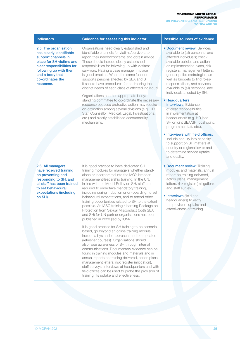| <b>Indicators</b>                                                                                                                                                                                                 | <b>Guidance for assessing this indicator</b>                                                                                                                                                                                                                                                                                                                                                                                                                                                                                                                                                                                                                                                                                                                                                                       | <b>Possible sources of evidence</b>                                                                                                                                                                                                                                                                                                                                                                                                                                                                                                                                                                                                                                                                                                                                 |
|-------------------------------------------------------------------------------------------------------------------------------------------------------------------------------------------------------------------|--------------------------------------------------------------------------------------------------------------------------------------------------------------------------------------------------------------------------------------------------------------------------------------------------------------------------------------------------------------------------------------------------------------------------------------------------------------------------------------------------------------------------------------------------------------------------------------------------------------------------------------------------------------------------------------------------------------------------------------------------------------------------------------------------------------------|---------------------------------------------------------------------------------------------------------------------------------------------------------------------------------------------------------------------------------------------------------------------------------------------------------------------------------------------------------------------------------------------------------------------------------------------------------------------------------------------------------------------------------------------------------------------------------------------------------------------------------------------------------------------------------------------------------------------------------------------------------------------|
| 2.5. The organisation<br>has clearly identifiable<br>support channels in<br>place for SH victims and<br>clear responsibilities for<br>following up with them,<br>and a body that<br>co-ordinates the<br>response. | Organisations need clearly established and<br>identifiable channels for victims/survivors to<br>report their needs/concerns and obtain advice.<br>These should include clearly established<br>responsibilities for following up with victims/<br>survivors. Having a case manager in place<br>is good practice. Where the same function<br>supports persons affected by SEA and SH,<br>it should have procedures for addressing the<br>distinct needs of each class of affected individual.<br>Organisations need an appropriate body/<br>standing committee to co-ordinate the necessary<br>response because protective action may require<br>co-ordination among several divisions (e.g. HR,<br>Staff Counsellor, Medical, Legal, Investigations,<br>etc.) and clearly established accountability<br>mechanisms. | <b>• Document review: Services</b><br>available to (all) personnel and<br>affected individuals; check<br>available policies and action<br>or implementation plans, risk<br>registers, management letters,<br>gender policies/strategies, as<br>well as budgets to find roles/<br>responsibilities, and services<br>available to (all) personnel and<br>individuals affected by SH.<br>• Headquarters<br>interviews: Evidence<br>of clear responsibilities<br>in implementation at<br>headquarters (e.g. HR lead,<br>SH or joint SEA/SH focal point,<br>programme staff, etc.).<br>• Interviews with field offices:<br>Include enquiry into capacity<br>to support on SH matters at<br>country or regional levels and<br>to determine service uptake<br>and quality. |
| 2.6. All managers<br>have received training<br>on preventing and<br>responding to SH, and<br>all staff has been trained<br>to set behavioural<br>expectations (including<br>on SH).                               | It is good practice to have dedicated SH<br>training modules for managers whether stand-<br>alone or incorporated into the MO's broader<br>management/leadership training. In the UN,<br>in line with the Model Policy on SH, staff are<br>required to undertake mandatory training,<br>including during induction or on-boarding, to set<br>behavioural expectations, and to attend other<br>training opportunities related to SH to the extent<br>possible. An IASC training / learning Package on<br>Protection from Sexual Misconduct (both SEA<br>and SH) for UN partner organisations has been<br>published in 2020 (led by IOM).                                                                                                                                                                            | · Document review: Training<br>modules and materials, annual<br>report on training delivered,<br>action plans, management<br>letters, risk register (mitigation),<br>and staff survey.<br><b>• Interviews</b> (field and<br>headquarters) to verify<br>the provision, uptake and<br>effectiveness of training.                                                                                                                                                                                                                                                                                                                                                                                                                                                      |
|                                                                                                                                                                                                                   | It is good practice for SH training to be scenario-<br>based, go beyond an online training module,<br>include a bystander approach, and be repeated<br>(refresher courses). Organisations should<br>also raise awareness of SH through internal<br>communications. Documentary evidence can be<br>found in training modules and materials and in<br>annual reports on training delivered, action plans,<br>management letters, risk register (mitigation),<br>staff surveys. Interviews at headquarters and with<br>field offices can be used to probe the provision of<br>training, its uptake and effectiveness.                                                                                                                                                                                                 |                                                                                                                                                                                                                                                                                                                                                                                                                                                                                                                                                                                                                                                                                                                                                                     |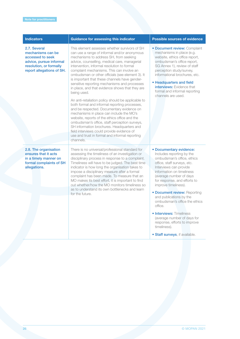| <b>Indicators</b>                                                                                                                        | <b>Guidance for assessing this indicator</b>                                                                                                                                                                                                                                                                                                                                                                                                                                                                                                                                                                                                                                                                                                                                                                                                                                                                                                                             | <b>Possible sources of evidence</b>                                                                                                                                                                                                                                                                                                                                                                                                                                                                             |
|------------------------------------------------------------------------------------------------------------------------------------------|--------------------------------------------------------------------------------------------------------------------------------------------------------------------------------------------------------------------------------------------------------------------------------------------------------------------------------------------------------------------------------------------------------------------------------------------------------------------------------------------------------------------------------------------------------------------------------------------------------------------------------------------------------------------------------------------------------------------------------------------------------------------------------------------------------------------------------------------------------------------------------------------------------------------------------------------------------------------------|-----------------------------------------------------------------------------------------------------------------------------------------------------------------------------------------------------------------------------------------------------------------------------------------------------------------------------------------------------------------------------------------------------------------------------------------------------------------------------------------------------------------|
| 2.7. Several<br>mechanisms can be<br>accessed to seek<br>advice, pursue informal<br>resolution, or formally<br>report allegations of SH. | This element assesses whether survivors of SH<br>can use a range of informal and/or anonymous<br>mechanisms to address SH, from seeking<br>advice, counselling, medical care, managerial<br>intervention, informal resolution to formal<br>complaint mechanisms. This can involve an<br>ombudsman or other officials (see element 3). It<br>is important that these channels have gender-<br>sensitive reporting mechanisms and processes<br>in place, and that evidence shows that they are<br>being used.<br>An anti-retaliation policy should be applicable to<br>both formal and informal reporting processes,<br>and be respected. Documentary evidence on<br>mechanisms in place can include the MO's<br>website, reports of the ethics office and the<br>ombudsman's office, staff perception surveys,<br>SH information brochures. Headquarters and<br>field interviews could provide evidence of<br>use and trust in formal and informal reporting<br>channels. | <b>• Document review: Complaint</b><br>mechanisms in place (e.g.<br>website, ethics office report,<br>ombudsman's office report,<br>SG Annex 1), review of staff<br>perception study/survey,<br>informational brochures, etc.<br>• Headquarters and field<br><b>interviews:</b> Evidence that<br>formal and informal reporting<br>channels are used.                                                                                                                                                            |
| 2.8. The organisation<br>ensures that it acts<br>in a timely manner on<br>formal complaints of SH<br>allegations.                        | There is no universal/professional standard for<br>assessing the timeliness of an investigation or<br>disciplinary process in response to a complaint.<br>Timeliness will have to be judged. The best time<br>indicator is how long the organisation takes to<br>impose a disciplinary measure after a formal<br>complaint has been made. To measure that an<br>MO makes its best effort, it is important to find<br>out whether/how the MO monitors timeliness so<br>as to understand its own bottlenecks and learn<br>for the future.                                                                                                                                                                                                                                                                                                                                                                                                                                  | · Documentary evidence:<br>Includes reporting by the<br>ombudsman's office, ethics<br>office, staff surveys, etc.<br>Interviews can provide<br>information on timeliness<br>(average number of days<br>for response, and efforts to<br>improve timeliness).<br>• Document review: Reporting<br>and publications by the<br>ombudsman's office the ethics<br>office.<br>• Interviews: Timeliness<br>(average number of days for<br>response, efforts to improve<br>timeliness).<br>• Staff surveys, if available. |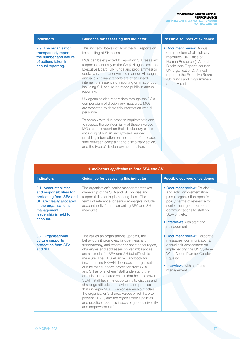<span id="page-28-0"></span>

| <b>Indicators</b>                                                                                                   | <b>Guidance for assessing this indicator</b>                                                                                                                                                                                                                                                                                                                                                                                                          | <b>Possible sources of evidence</b>                                                                                                                                                                                                                                  |
|---------------------------------------------------------------------------------------------------------------------|-------------------------------------------------------------------------------------------------------------------------------------------------------------------------------------------------------------------------------------------------------------------------------------------------------------------------------------------------------------------------------------------------------------------------------------------------------|----------------------------------------------------------------------------------------------------------------------------------------------------------------------------------------------------------------------------------------------------------------------|
| 2.9. The organisation<br>transparently reports<br>the number and nature<br>of actions taken in<br>annual reporting. | This indicator looks into how the MO reports on<br>its handling of SH cases.<br>MOs can be expected to report on SH cases and<br>responses annually to the GA (UN agencies), the<br>Executive Board (UN funds and programmes) or<br>equivalent, in an anonymised manner. Although<br>annual disciplinary reports are often Board-<br>internal, the essence of reporting on misconduct,<br>including SH, should be made public in annual<br>reporting. | <b>• Document review: Annual</b><br>compendium of disciplinary<br>measures (UN Office of<br>Human Resources), Annual<br>Disciplinary Reports (for non-<br>UN organisations), Annual<br>report to the Executive Board<br>(UN funds and programmes),<br>or equivalent. |
|                                                                                                                     | UN agencies also report data through the SG's<br>compendium of disciplinary measures. MOs<br>are expected to share this information with all<br>personnel.                                                                                                                                                                                                                                                                                            |                                                                                                                                                                                                                                                                      |
|                                                                                                                     | To comply with due process requirements and<br>to respect the confidentiality of those involved,<br>MOs tend to report on their disciplinary cases<br>(including SH) in an anonymised manner,<br>providing information on the nature of the case,<br>time between complaint and disciplinary action,<br>and the type of disciplinary action taken.                                                                                                    |                                                                                                                                                                                                                                                                      |

| 3. Indicators applicable to both SEA and SH                                                                                                                                           |                                                                                                                                                                                                                                                                                                                                                                                                                                                                                                                                                                                                                                                                                                                                                                                                                     |                                                                                                                                                                                                                                                            |  |
|---------------------------------------------------------------------------------------------------------------------------------------------------------------------------------------|---------------------------------------------------------------------------------------------------------------------------------------------------------------------------------------------------------------------------------------------------------------------------------------------------------------------------------------------------------------------------------------------------------------------------------------------------------------------------------------------------------------------------------------------------------------------------------------------------------------------------------------------------------------------------------------------------------------------------------------------------------------------------------------------------------------------|------------------------------------------------------------------------------------------------------------------------------------------------------------------------------------------------------------------------------------------------------------|--|
| <b>Indicators</b>                                                                                                                                                                     | <b>Guidance for assessing this indicator</b>                                                                                                                                                                                                                                                                                                                                                                                                                                                                                                                                                                                                                                                                                                                                                                        | <b>Possible sources of evidence</b>                                                                                                                                                                                                                        |  |
| 3.1. Accountabilities<br>and responsibilities for<br>protecting from SEA and<br>SH are clearly allocated<br>in the organisation's<br>management;<br>leadership is held to<br>account. | The organisation's senior management takes<br>ownership of the SEA and SH policies and<br>responsibility for implementing them. The<br>terms of reference for senior managers include<br>accountability for implementing SEA and SH<br>measures.                                                                                                                                                                                                                                                                                                                                                                                                                                                                                                                                                                    | <b>• Document review: Policies</b><br>and action/implementation<br>plans, organisation-specific<br>policy; terms of reference for<br>senior managers; corporate<br>communications to staff on<br>SEA/SH, etc.<br>• Interviews with staff and<br>management |  |
| 3.2. Organisational<br>culture supports<br>protection from SEA<br>and SH                                                                                                              | The values an organisations upholds, the<br>behaviours it promotes, its openness and<br>transparency, and whether or not it encourages,<br>challenges and addresses power imbalances,<br>are all crucial for SEA and SH but difficult to<br>measure. The CHS Alliance Handbook for<br>implementing PSEAH describes an organisational<br>culture that supports protection from SEA<br>and SH as one where "staff understand the<br>organisation's shared values that help to prevent<br>SEAH; staff have the opportunity to discuss and<br>challenge attitudes, behaviours and practice<br>that underpin SEAH; senior leadership models<br>the organisation's shared values which help to<br>prevent SEAH, and the organisation's policies<br>and practices address issues of gender, diversity<br>and empowerment." | <b>• Document review: Corporate</b><br>messages, communications,<br>annual self-assessment on<br>implementing the UN System-<br>Wide Action Plan for Gender<br>Equality.<br><b>. Interviews</b> with staff and<br>management.                              |  |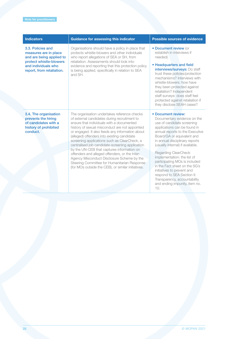| <b>Indicators</b>                                                                                                                                     | <b>Guidance for assessing this indicator</b>                                                                                                                                                                                                                                                                                                                                                                                                                                                                                                                                                                                                         | <b>Possible sources of evidence</b>                                                                                                                                                                                                                                                                                                                                                                                                                                                                                        |
|-------------------------------------------------------------------------------------------------------------------------------------------------------|------------------------------------------------------------------------------------------------------------------------------------------------------------------------------------------------------------------------------------------------------------------------------------------------------------------------------------------------------------------------------------------------------------------------------------------------------------------------------------------------------------------------------------------------------------------------------------------------------------------------------------------------------|----------------------------------------------------------------------------------------------------------------------------------------------------------------------------------------------------------------------------------------------------------------------------------------------------------------------------------------------------------------------------------------------------------------------------------------------------------------------------------------------------------------------------|
| 3.3. Policies and<br>measures are in place<br>and are being applied to<br>protect whistle-blowers<br>and individuals who<br>report, from retaliation. | Organisations should have a policy in place that<br>protects whistle-blowers and other individuals<br>who report allegations of SEA or SH, from<br>retaliation. Assessments should look into<br>evidence and reporting that this protection policy<br>is being applied, specifically in relation to SEA<br>and SH.                                                                                                                                                                                                                                                                                                                                   | · Document review (or<br>establish in interviews if<br>needed).<br>• Headquarters and field<br>interviews/surveys: Do staff<br>trust these policies/protection<br>mechanisms? Interviews with<br>whistle-blowers: how have<br>they been protected against<br>retaliation? Independent<br>staff surveys: does staff feel<br>protected against retaliation if<br>they disclose SEAH cases?                                                                                                                                   |
| 3.4. The organisation<br>prevents the hiring<br>of candidates with a<br>history of prohibited<br>conduct.                                             | The organisation undertakes reference checks<br>of external candidates during recruitment to<br>ensure that individuals with a documented<br>history of sexual misconduct are not appointed<br>or engaged. It also feeds any information about<br>(alleged) offenders into existing candidate<br>screening applications such as ClearCheck, a<br>centralised job candidate-screening application<br>by the UN-CEB that captures information on<br>offenders and alleged offenders, or the Inter-<br>Agency Misconduct Disclosure Scheme by the<br>Steering Committee for Humanitarian Response<br>(for MOs outside the CEB), or similar initiatives. | • Document review:<br>Documentary evidence on the<br>use of candidate screening<br>applications can be found in<br>annual reports to the Executive<br>Board/GA or equivalent and<br>in annual disciplinary reports<br>(usually internal) if available.<br><b>Regarding ClearCheck</b><br>implementation: the list of<br>participating MOs is included<br>in the Fact sheet on the SG's<br>initiatives to prevent and<br>respond to SEA Section II:<br>Transparency, accountability<br>and ending impunity, item no.<br>10. |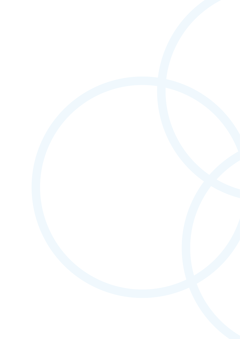